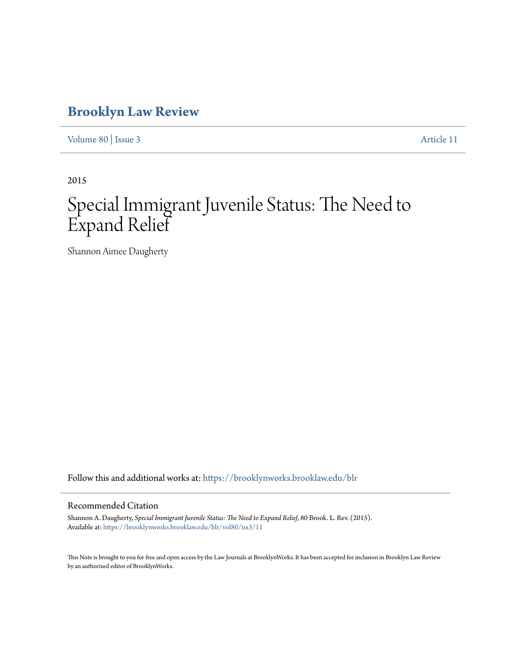# **[Brooklyn Law Review](https://brooklynworks.brooklaw.edu/blr?utm_source=brooklynworks.brooklaw.edu%2Fblr%2Fvol80%2Fiss3%2F11&utm_medium=PDF&utm_campaign=PDFCoverPages)**

[Volume 80](https://brooklynworks.brooklaw.edu/blr/vol80?utm_source=brooklynworks.brooklaw.edu%2Fblr%2Fvol80%2Fiss3%2F11&utm_medium=PDF&utm_campaign=PDFCoverPages) | [Issue 3](https://brooklynworks.brooklaw.edu/blr/vol80/iss3?utm_source=brooklynworks.brooklaw.edu%2Fblr%2Fvol80%2Fiss3%2F11&utm_medium=PDF&utm_campaign=PDFCoverPages) [Article 11](https://brooklynworks.brooklaw.edu/blr/vol80/iss3/11?utm_source=brooklynworks.brooklaw.edu%2Fblr%2Fvol80%2Fiss3%2F11&utm_medium=PDF&utm_campaign=PDFCoverPages)

2015

# Special Immigrant Juvenile Status: The Need to Expand Relief

Shannon Aimee Daugherty

Follow this and additional works at: [https://brooklynworks.brooklaw.edu/blr](https://brooklynworks.brooklaw.edu/blr?utm_source=brooklynworks.brooklaw.edu%2Fblr%2Fvol80%2Fiss3%2F11&utm_medium=PDF&utm_campaign=PDFCoverPages)

# Recommended Citation

Shannon A. Daugherty, *Special Immigrant Juvenile Status: The Need to Expand Relief*, 80 Brook. L. Rev. (2015). Available at: [https://brooklynworks.brooklaw.edu/blr/vol80/iss3/11](https://brooklynworks.brooklaw.edu/blr/vol80/iss3/11?utm_source=brooklynworks.brooklaw.edu%2Fblr%2Fvol80%2Fiss3%2F11&utm_medium=PDF&utm_campaign=PDFCoverPages)

This Note is brought to you for free and open access by the Law Journals at BrooklynWorks. It has been accepted for inclusion in Brooklyn Law Review by an authorized editor of BrooklynWorks.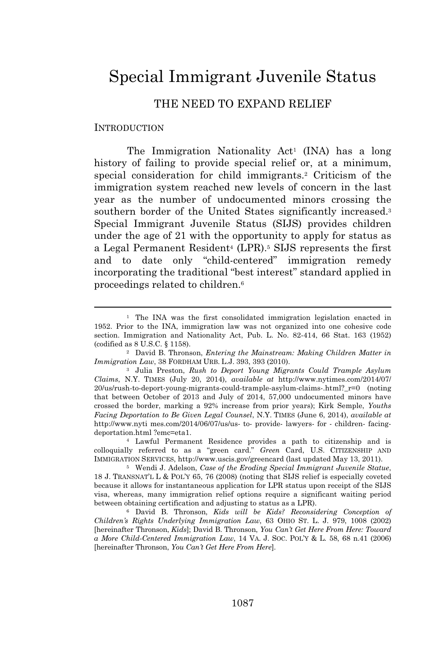# Special Immigrant Juvenile Status

# THE NEED TO EXPAND RELIEF

#### INTRODUCTION

The Immigration Nationality  $Act<sup>1</sup>$  (INA) has a long history of failing to provide special relief or, at a minimum, special consideration for child immigrants.<sup>2</sup> Criticism of the immigration system reached new levels of concern in the last year as the number of undocumented minors crossing the southern border of the United States significantly increased.<sup>3</sup> Special Immigrant Juvenile Status (SIJS) provides children under the age of 21 with the opportunity to apply for status as a Legal Permanent Resident<sup>4</sup> (LPR).<sup>5</sup> SIJS represents the first and to date only "child-centered" immigration remedy incorporating the traditional "best interest" standard applied in proceedings related to children.<sup>6</sup>

<sup>4</sup> Lawful Permanent Residence provides a path to citizenship and is colloquially referred to as a "green card." *Green* Card, U.S. CITIZENSHIP AND IMMIGRATION SERVICES, http://www.uscis.gov/greencard (last updated May 13, 2011).

<sup>5</sup> Wendi J. Adelson, *Case of the Eroding Special Immigrant Juvenile Statue*, 18 J. TRANSNAT'<sup>L</sup> L & POL'<sup>Y</sup> 65, 76 (2008) (noting that SIJS relief is especially coveted because it allows for instantaneous application for LPR status upon receipt of the SIJS visa, whereas, many immigration relief options require a significant waiting period between obtaining certification and adjusting to status as a LPR).

<sup>6</sup> David B. Thronson, *Kids will be Kids? Reconsidering Conception of Children's Rights Underlying Immigration Law*, 63 OHIO ST. L. J. 979, 1008 (2002) [hereinafter Thronson, *Kids*]; David B. Thronson, *You Can't Get Here From Here: Toward a More Child-Centered Immigration Law*, 14 VA. J. SOC. POL'<sup>Y</sup> & L. 58, 68 n.41 (2006) [hereinafter Thronson, *You Can't Get Here From Here*].

<sup>&</sup>lt;sup>1</sup> The INA was the first consolidated immigration legislation enacted in 1952. Prior to the INA, immigration law was not organized into one cohesive code section. Immigration and Nationality Act, Pub. L. No. 82-414, 66 Stat. 163 (1952) (codified as 8 U.S.C. § 1158).

<sup>2</sup> David B. Thronson, *Entering the Mainstream: Making Children Matter in Immigration Law*, 38 FORDHAM URB. L.J. 393, 393 (2010).

<sup>3</sup> Julia Preston, *Rush to Deport Young Migrants Could Trample Asylum Claims*, N.Y. TIMES (July 20, 2014), *available at* http://www.nytimes.com/2014/07/ 20/us/rush-to-deport-young-migrants-could-trample-asylum-claims-.html?\_r=0 (noting that between October of 2013 and July of 2014, 57,000 undocumented minors have crossed the border, marking a 92% increase from prior years); Kirk Semple, *Youths Facing Deportation to Be Given Legal Counsel*, N.Y. TIMES (June 6, 2014), *available at* http://www.nyti mes.com/2014/06/07/us/us- to- provide- lawyers- for - children- facingdeportation.html ?emc=eta1.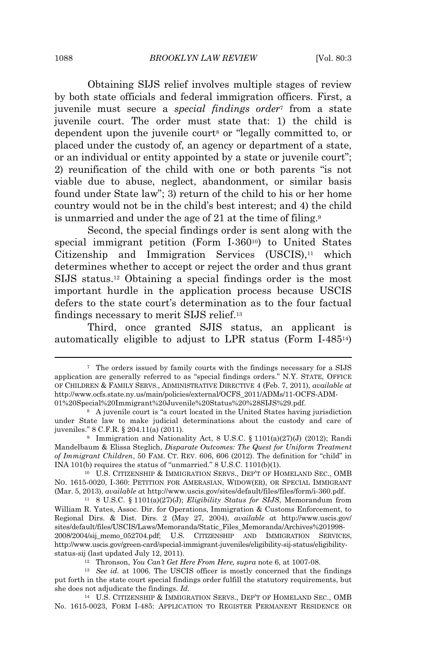Obtaining SIJS relief involves multiple stages of review by both state officials and federal immigration officers. First, a juvenile must secure a *special findings order*<sup>7</sup> from a state juvenile court. The order must state that: 1) the child is dependent upon the juvenile court<sup>8</sup> or "legally committed to, or placed under the custody of, an agency or department of a state, or an individual or entity appointed by a state or juvenile court"; 2) reunification of the child with one or both parents "is not viable due to abuse, neglect, abandonment, or similar basis found under State law"; 3) return of the child to his or her home country would not be in the child's best interest; and 4) the child is unmarried and under the age of 21 at the time of filing.<sup>9</sup>

Second, the special findings order is sent along with the special immigrant petition (Form I-360<sup>10</sup>) to United States Citizenship and Immigration Services  $(USCIS)$ ,<sup>11</sup> which determines whether to accept or reject the order and thus grant SIJS status.<sup>12</sup> Obtaining a special findings order is the most important hurdle in the application process because USCIS defers to the state court's determination as to the four factual findings necessary to merit SIJS relief.<sup>13</sup>

Third, once granted SJIS status, an applicant is automatically eligible to adjust to LPR status (Form I-48514)

<sup>7</sup> The orders issued by family courts with the findings necessary for a SIJS application are generally referred to as "special findings orders." N.Y. STATE, OFFICE OF CHILDREN & FAMILY SERVS., ADMINISTRATIVE DIRECTIVE 4 (Feb. 7, 2011), *available at* http://www.ocfs.state.ny.us/main/policies/external/OCFS\_2011/ADMs/11-OCFS-ADM-01%20Special%20Immigrant%20Juvenile%20Status%20%28SIJS%29.pdf.

<sup>8</sup> A juvenile court is "a court located in the United States having jurisdiction under State law to make judicial determinations about the custody and care of juveniles." 8 C.F.R. § 204.11(a) (2011).

<sup>9</sup> Immigration and Nationality Act, 8 U.S.C. § 1101(a)(27)(J) (2012); Randi Mandelbaum & Elissa Steglich, *Disparate Outcomes: The Quest for Uniform Treatment of Immigrant Children*, 50 FAM. CT. REV. 606, 606 (2012). The definition for "child" in INA 101(b) requires the status of "unmarried." 8 U.S.C. 1101(b)(1).

<sup>10</sup> U.S. CITIZENSHIP & IMMIGRATION SERVS., DEP'<sup>T</sup> OF HOMELAND SEC., OMB NO. 1615-0020, I-360: PETITION FOR AMERASIAN, WIDOW(ER), OR SPECIAL IMMIGRANT (Mar. 5, 2013), *available a*t http://www.uscis.gov/sites/default/files/files/form/i-360.pdf.

<sup>11</sup> 8 U.S.C. § 1101(a)(27)(J); *Eligibility Status for SIJS*, Memorandum from William R. Yates, Assoc. Dir. for Operations, Immigration & Customs Enforcement, to Regional Dirs. & Dist. Dirs. 2 (May 27, 2004), *available a*t http://www.uscis.gov/ sites/default/files/USCIS/Laws/Memoranda/Static\_Files\_Memoranda/Archives%201998- 2008/2004/sij\_memo\_052704.pdf; U.S. CITIZENSHIP AND IMMIGRATION SERVICES, http://www.uscis.gov/green-card/special-immigrant-juveniles/eligibility-sij-status/eligibilitystatus-sij (last updated July 12, 2011).

<sup>12</sup> Thronson, *You Can't Get Here From Here, supra* note 6, at 1007-08.

<sup>&</sup>lt;sup>13</sup> *See id.* at 1006. The USCIS officer is mostly concerned that the findings put forth in the state court special findings order fulfill the statutory requirements, but she does not adjudicate the findings. *Id.*

<sup>14</sup> U.S. CITIZENSHIP & IMMIGRATION SERVS., DEP'T OF HOMELAND SEC., OMB No. 1615-0023, FORM I-485: APPLICATION TO REGISTER PERMANENT RESIDENCE OR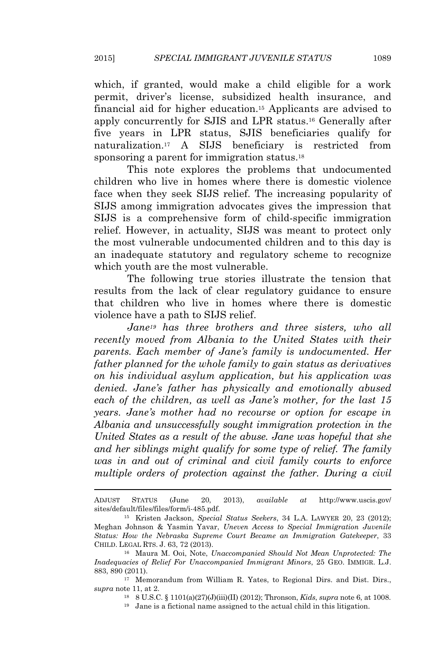which, if granted, would make a child eligible for a work permit, driver's license, subsidized health insurance, and financial aid for higher education.<sup>15</sup> Applicants are advised to apply concurrently for SJIS and LPR status.<sup>16</sup> Generally after five years in LPR status, SJIS beneficiaries qualify for naturalization.<sup>17</sup> A SIJS beneficiary is restricted from sponsoring a parent for immigration status.<sup>18</sup>

This note explores the problems that undocumented children who live in homes where there is domestic violence face when they seek SIJS relief. The increasing popularity of SIJS among immigration advocates gives the impression that SIJS is a comprehensive form of child-specific immigration relief. However, in actuality, SIJS was meant to protect only the most vulnerable undocumented children and to this day is an inadequate statutory and regulatory scheme to recognize which youth are the most vulnerable.

The following true stories illustrate the tension that results from the lack of clear regulatory guidance to ensure that children who live in homes where there is domestic violence have a path to SIJS relief.

*Jane<sup>19</sup> has three brothers and three sisters, who all recently moved from Albania to the United States with their parents. Each member of Jane's family is undocumented. Her father planned for the whole family to gain status as derivatives on his individual asylum application, but his application was denied. Jane's father has physically and emotionally abused each of the children, as well as Jane's mother, for the last 15 years. Jane's mother had no recourse or option for escape in Albania and unsuccessfully sought immigration protection in the United States as a result of the abuse. Jane was hopeful that she and her siblings might qualify for some type of relief. The family was in and out of criminal and civil family courts to enforce multiple orders of protection against the father. During a civil*

<sup>18</sup> 8 U.S.C. § 1101(a)(27)(J)(iii)(II) (2012); Thronson, *Kids*, *supra* note 6, at 1008.

ADJUST STATUS (June 20, 2013), *available at* http://www.uscis.gov/ sites/default/files/files/form/i-485.pdf.

<sup>15</sup> Kristen Jackson, *Special Status Seekers*, 34 L.A. LAWYER 20, 23 (2012); Meghan Johnson & Yasmin Yavar, *Uneven Access to Special Immigration Juvenile Status: How the Nebraska Supreme Court Became an Immigration Gatekeeper*, 33 CHILD. LEGAL RTS. J. 63, 72 (2013).

<sup>16</sup> Maura M. Ooi, Note, *Unaccompanied Should Not Mean Unprotected: The Inadequacies of Relief For Unaccompanied Immigrant Minors*, 25 GEO. IMMIGR. L.J. 883, 890 (2011).

<sup>17</sup> Memorandum from William R. Yates, to Regional Dirs. and Dist. Dirs., *supra* note 11, at 2.

<sup>19</sup> Jane is a fictional name assigned to the actual child in this litigation.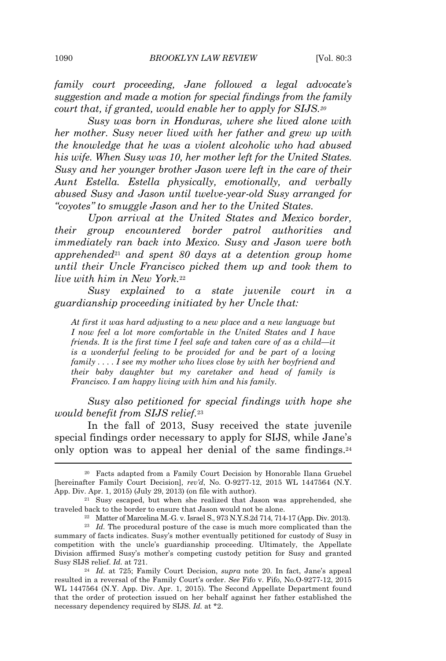*family court proceeding, Jane followed a legal advocate's suggestion and made a motion for special findings from the family court that, if granted, would enable her to apply for SIJS.<sup>20</sup>*

*Susy was born in Honduras, where she lived alone with her mother. Susy never lived with her father and grew up with the knowledge that he was a violent alcoholic who had abused his wife. When Susy was 10, her mother left for the United States. Susy and her younger brother Jason were left in the care of their Aunt Estella. Estella physically, emotionally, and verbally abused Susy and Jason until twelve-year-old Susy arranged for "coyotes" to smuggle Jason and her to the United States.*

*Upon arrival at the United States and Mexico border, their group encountered border patrol authorities and immediately ran back into Mexico. Susy and Jason were both apprehended*<sup>21</sup> *and spent 80 days at a detention group home until their Uncle Francisco picked them up and took them to live with him in New York.*<sup>22</sup>

*Susy explained to a state juvenile court in a guardianship proceeding initiated by her Uncle that:*

*At first it was hard adjusting to a new place and a new language but I now feel a lot more comfortable in the United States and I have friends. It is the first time I feel safe and taken care of as a child—it is a wonderful feeling to be provided for and be part of a loving family . . . . I see my mother who lives close by with her boyfriend and their baby daughter but my caretaker and head of family is Francisco. I am happy living with him and his family.*

*Susy also petitioned for special findings with hope she would benefit from SIJS relief.*<sup>23</sup>

In the fall of 2013, Susy received the state juvenile special findings order necessary to apply for SIJS, while Jane's only option was to appeal her denial of the same findings.<sup>24</sup>

<sup>20</sup> Facts adapted from a Family Court Decision by Honorable Ilana Gruebel [hereinafter Family Court Decision], *rev'd*, No. O-9277-12, 2015 WL 1447564 (N.Y. App. Div. Apr. 1, 2015) (July 29, 2013) (on file with author).

<sup>21</sup> Susy escaped, but when she realized that Jason was apprehended, she traveled back to the border to ensure that Jason would not be alone.

<sup>22</sup> Matter of Marcelina M.-G. v. Israel S., 973 N.Y.S.2d 714, 714-17 (App. Div. 2013).

<sup>&</sup>lt;sup>23</sup> *Id.* The procedural posture of the case is much more complicated than the summary of facts indicates. Susy's mother eventually petitioned for custody of Susy in competition with the uncle's guardianship proceeding. Ultimately, the Appellate Division affirmed Susy's mother's competing custody petition for Susy and granted Susy SIJS relief. *Id.* at 721.

<sup>24</sup> *Id.* at 725; Family Court Decision, *supra* note 20. In fact, Jane's appeal resulted in a reversal of the Family Court's order. *See* Fifo v. Fifo, No.O-9277-12, 2015 WL 1447564 (N.Y. App. Div. Apr. 1, 2015). The Second Appellate Department found that the order of protection issued on her behalf against her father established the necessary dependency required by SIJS. *Id.* at \*2.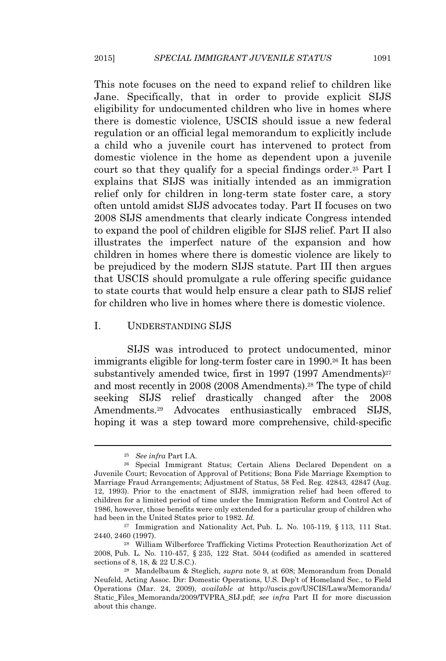This note focuses on the need to expand relief to children like Jane. Specifically, that in order to provide explicit SIJS eligibility for undocumented children who live in homes where there is domestic violence, USCIS should issue a new federal regulation or an official legal memorandum to explicitly include a child who a juvenile court has intervened to protect from domestic violence in the home as dependent upon a juvenile court so that they qualify for a special findings order.<sup>25</sup> Part I explains that SIJS was initially intended as an immigration relief only for children in long-term state foster care, a story often untold amidst SIJS advocates today. Part II focuses on two 2008 SIJS amendments that clearly indicate Congress intended to expand the pool of children eligible for SIJS relief. Part II also illustrates the imperfect nature of the expansion and how children in homes where there is domestic violence are likely to be prejudiced by the modern SIJS statute. Part III then argues that USCIS should promulgate a rule offering specific guidance to state courts that would help ensure a clear path to SIJS relief for children who live in homes where there is domestic violence.

#### I. UNDERSTANDING SIJS

SIJS was introduced to protect undocumented, minor immigrants eligible for long-term foster care in 1990.<sup>26</sup> It has been substantively amended twice, first in 1997 (1997 Amendments)<sup>27</sup> and most recently in 2008 (2008 Amendments).<sup>28</sup> The type of child seeking SIJS relief drastically changed after the 2008 Amendments.<sup>29</sup> Advocates enthusiastically embraced SIJS, hoping it was a step toward more comprehensive, child-specific

<sup>25</sup> *See infra* Part I.A.

<sup>26</sup> Special Immigrant Status; Certain Aliens Declared Dependent on a Juvenile Court; Revocation of Approval of Petitions; Bona Fide Marriage Exemption to Marriage Fraud Arrangements; Adjustment of Status, 58 Fed. Reg. 42843, 42847 (Aug. 12, 1993). Prior to the enactment of SIJS, immigration relief had been offered to children for a limited period of time under the Immigration Reform and Control Act of 1986, however, those benefits were only extended for a particular group of children who had been in the United States prior to 1982. *Id.*

<sup>27</sup> Immigration and Nationality Act, Pub. L. No. 105-119, § 113, 111 Stat. 2440, 2460 (1997).

<sup>28</sup> William Wilberforce Trafficking Victims Protection Reauthorization Act of 2008, Pub. L. No. 110-457, § 235, 122 Stat. 5044 (codified as amended in scattered sections of 8, 18, & 22 U.S.C.).

<sup>29</sup> Mandelbaum & Steglich, *supra* note 9, at 608; Memorandum from Donald Neufeld, Acting Assoc. Dir: Domestic Operations, U.S. Dep't of Homeland Sec., to Field Operations (Mar. 24, 2009), *available at* http://uscis.gov/USCIS/Laws/Memoranda/ Static\_Files\_Memoranda/2009/TVPRA\_SIJ.pdf; *see infra* Part II for more discussion about this change.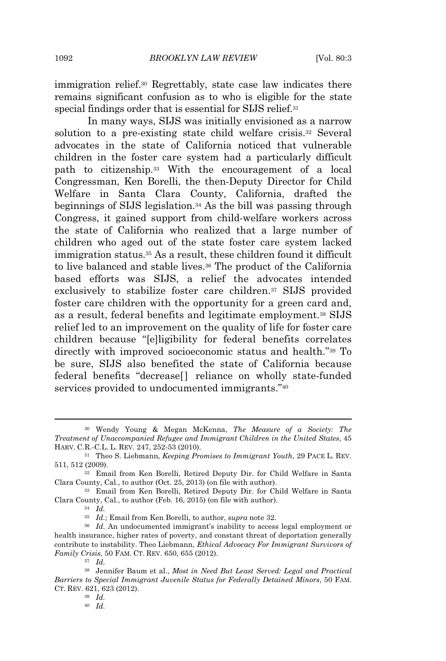immigration relief.<sup>30</sup> Regrettably, state case law indicates there remains significant confusion as to who is eligible for the state special findings order that is essential for SIJS relief.<sup>31</sup>

In many ways, SIJS was initially envisioned as a narrow solution to a pre-existing state child welfare crisis.<sup>32</sup> Several advocates in the state of California noticed that vulnerable children in the foster care system had a particularly difficult path to citizenship.<sup>33</sup> With the encouragement of a local Congressman, Ken Borelli, the then-Deputy Director for Child Welfare in Santa Clara County, California, drafted the beginnings of SIJS legislation.<sup>34</sup> As the bill was passing through Congress, it gained support from child-welfare workers across the state of California who realized that a large number of children who aged out of the state foster care system lacked immigration status.<sup>35</sup> As a result, these children found it difficult to live balanced and stable lives.<sup>36</sup> The product of the California based efforts was SIJS, a relief the advocates intended exclusively to stabilize foster care children.<sup>37</sup> SIJS provided foster care children with the opportunity for a green card and, as a result, federal benefits and legitimate employment.<sup>38</sup> SIJS relief led to an improvement on the quality of life for foster care children because "[e]ligibility for federal benefits correlates directly with improved socioeconomic status and health." <sup>39</sup> To be sure, SIJS also benefited the state of California because federal benefits "decrease[] reliance on wholly state-funded services provided to undocumented immigrants."40

<sup>30</sup> Wendy Young & Megan McKenna, *The Measure of a Society: The Treatment of Unaccompanied Refugee and Immigrant Children in the United States*, 45 HARV. C.R.-C.L. L. REV. 247, 252-53 (2010).

<sup>31</sup> Theo S. Liebmann, *Keeping Promises to Immigrant Youth*, 29 PACE L. REV. 511, 512 (2009).

<sup>32</sup> Email from Ken Borelli, Retired Deputy Dir. for Child Welfare in Santa Clara County, Cal., to author (Oct. 25, 2013) (on file with author).

<sup>33</sup> Email from Ken Borelli, Retired Deputy Dir. for Child Welfare in Santa Clara County, Cal., to author (Feb. 16, 2015) (on file with author).

<sup>34</sup> *Id.*

<sup>35</sup> *Id.*; Email from Ken Borelli, to author, *supra* note 32.

<sup>36</sup> *Id.* An undocumented immigrant's inability to access legal employment or health insurance, higher rates of poverty, and constant threat of deportation generally contribute to instability. Theo Liebmann, *Ethical Advocacy For Immigrant Survivors of Family Crisis*, 50 FAM. CT. REV. 650, 655 (2012).

<sup>37</sup> *Id.*

<sup>38</sup> Jennifer Baum et al., *Most in Need But Least Served: Legal and Practical Barriers to Special Immigrant Juvenile Status for Federally Detained Minors*, 50 FAM. CT. REV. 621, 623 (2012).

<sup>40</sup> *Id.*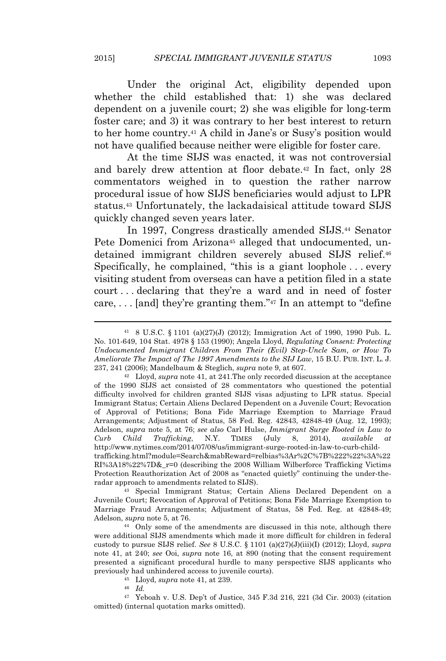Under the original Act, eligibility depended upon whether the child established that: 1) she was declared dependent on a juvenile court; 2) she was eligible for long-term foster care; and 3) it was contrary to her best interest to return to her home country.<sup>41</sup> A child in Jane's or Susy's position would not have qualified because neither were eligible for foster care.

At the time SIJS was enacted, it was not controversial and barely drew attention at floor debate.<sup>42</sup> In fact, only 28 commentators weighed in to question the rather narrow procedural issue of how SIJS beneficiaries would adjust to LPR status.<sup>43</sup> Unfortunately, the lackadaisical attitude toward SIJS quickly changed seven years later.

In 1997, Congress drastically amended SIJS.<sup>44</sup> Senator Pete Domenici from Arizona<sup>45</sup> alleged that undocumented, undetained immigrant children severely abused SIJS relief.<sup>46</sup> Specifically, he complained, "this is a giant loophole . . . every visiting student from overseas can have a petition filed in a state court . . . declaring that they're a ward and in need of foster care, . . . [and] they're granting them." <sup>47</sup> In an attempt to "define

<sup>42</sup> Lloyd, *supra* note 41, at 241.The only recorded discussion at the acceptance of the 1990 SIJS act consisted of 28 commentators who questioned the potential difficulty involved for children granted SIJS visas adjusting to LPR status. Special Immigrant Status; Certain Aliens Declared Dependent on a Juvenile Court; Revocation of Approval of Petitions; Bona Fide Marriage Exemption to Marriage Fraud Arrangements; Adjustment of Status, 58 Fed. Reg. 42843, 42848-49 (Aug. 12, 1993); Adelson, *supra* note 5, at 76; *see also* Carl Hulse, *Immigrant Surge Rooted in Law to Curb Child Trafficking*, N.Y. TIMES (July 8, 2014), *available* http://www.nytimes.com/2014/07/08/us/immigrant-surge-rooted-in-law-to-curb-childtrafficking.html?module=Search&mabReward=relbias%3Ar%2C%7B%222%22%3A%22 RI%3A18%22%7D&\_r=0 (describing the 2008 William Wilberforce Trafficking Victims Protection Reauthorization Act of 2008 as "enacted quietly" continuing the under-theradar approach to amendments related to SIJS).

<sup>43</sup> Special Immigrant Status; Certain Aliens Declared Dependent on a Juvenile Court; Revocation of Approval of Petitions; Bona Fide Marriage Exemption to Marriage Fraud Arrangements; Adjustment of Status, 58 Fed. Reg. at 42848-49; Adelson, *supra* note 5, at 76.

<sup>44</sup> Only some of the amendments are discussed in this note, although there were additional SIJS amendments which made it more difficult for children in federal custody to pursue SIJS relief. *See* 8 U.S.C. § 1101 (a)(27)(J)(iii)(I) (2012); Lloyd, *supra* note 41, at 240; *see* Ooi, *supra* note 16, at 890 (noting that the consent requirement presented a significant procedural hurdle to many perspective SIJS applicants who previously had unhindered access to juvenile courts).

<sup>45</sup> Lloyd, *supra* note 41, at 239.

<sup>46</sup> *Id.*

<sup>47</sup> Yeboah v. U.S. Dep't of Justice, 345 F.3d 216, 221 (3d Cir. 2003) (citation omitted) (internal quotation marks omitted).

<sup>41</sup> 8 U.S.C. § 1101 (a)(27)(J) (2012); Immigration Act of 1990, 1990 Pub. L. No. 101-649, 104 Stat. 4978 § 153 (1990); Angela Lloyd, *Regulating Consent: Protecting Undocumented Immigrant Children From Their (Evil) Step-Uncle Sam, or How To Ameliorate The Impact of The 1997 Amendments to the SIJ Law*, 15 B.U. PUB. INT. L. J. 237, 241 (2006); Mandelbaum & Steglich, *supra* note 9, at 607.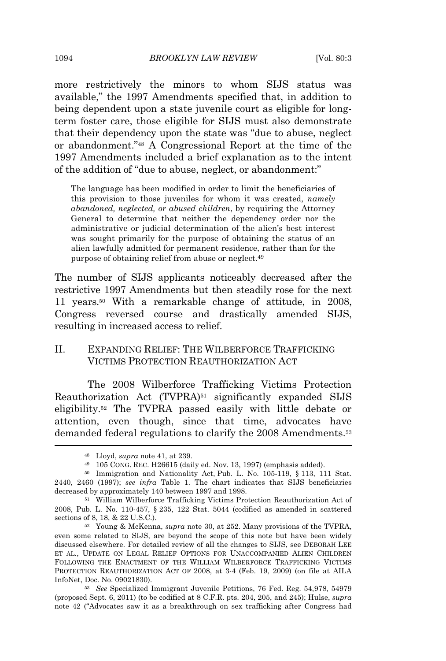more restrictively the minors to whom SIJS status was available," the 1997 Amendments specified that, in addition to being dependent upon a state juvenile court as eligible for longterm foster care, those eligible for SIJS must also demonstrate that their dependency upon the state was "due to abuse, neglect or abandonment." <sup>48</sup> A Congressional Report at the time of the 1997 Amendments included a brief explanation as to the intent of the addition of "due to abuse, neglect, or abandonment:"

The language has been modified in order to limit the beneficiaries of this provision to those juveniles for whom it was created, *namely abandoned, neglected, or abused children*, by requiring the Attorney General to determine that neither the dependency order nor the administrative or judicial determination of the alien's best interest was sought primarily for the purpose of obtaining the status of an alien lawfully admitted for permanent residence, rather than for the purpose of obtaining relief from abuse or neglect.<sup>49</sup>

The number of SIJS applicants noticeably decreased after the restrictive 1997 Amendments but then steadily rose for the next 11 years.<sup>50</sup> With a remarkable change of attitude, in 2008, Congress reversed course and drastically amended SIJS, resulting in increased access to relief.

# II. EXPANDING RELIEF: THE WILBERFORCE TRAFFICKING VICTIMS PROTECTION REAUTHORIZATION ACT

The 2008 Wilberforce Trafficking Victims Protection Reauthorization Act (TVPRA)<sup>51</sup> significantly expanded SIJS eligibility.<sup>52</sup> The TVPRA passed easily with little debate or attention, even though, since that time, advocates have demanded federal regulations to clarify the 2008 Amendments.<sup>53</sup>

<sup>48</sup> Lloyd, *supra* note 41, at 239.

 $49$  105 CONG. REC. H26615 (daily ed. Nov. 13, 1997) (emphasis added).

<sup>&</sup>lt;sup>50</sup> Immigration and Nationality Act, Pub. L. No. 105-119, § 113, 111 Stat. 2440, 2460 (1997); *see infra* Table 1. The chart indicates that SIJS beneficiaries decreased by approximately 140 between 1997 and 1998.

<sup>51</sup> William Wilberforce Trafficking Victims Protection Reauthorization Act of 2008, Pub. L. No. 110-457, § 235, 122 Stat. 5044 (codified as amended in scattered sections of 8, 18, & 22 U.S.C.).

<sup>52</sup> Young & McKenna, *supra* note 30, at 252. Many provisions of the TVPRA, even some related to SIJS, are beyond the scope of this note but have been widely discussed elsewhere. For detailed review of all the changes to SIJS, see DEBORAH LEE ET AL., UPDATE ON LEGAL RELIEF OPTIONS FOR UNACCOMPANIED ALIEN CHILDREN FOLLOWING THE ENACTMENT OF THE WILLIAM WILBERFORCE TRAFFICKING VICTIMS PROTECTION REAUTHORIZATION ACT OF 2008, at 3-4 (Feb. 19, 2009) (on file at AILA InfoNet, Doc. No. 09021830).

<sup>53</sup> *See* Specialized Immigrant Juvenile Petitions, 76 Fed. Reg. 54,978, 54979 (proposed Sept. 6, 2011) (to be codified at 8 C.F.R. pts. 204, 205, and 245); Hulse, *supra* note 42 ("Advocates saw it as a breakthrough on sex trafficking after Congress had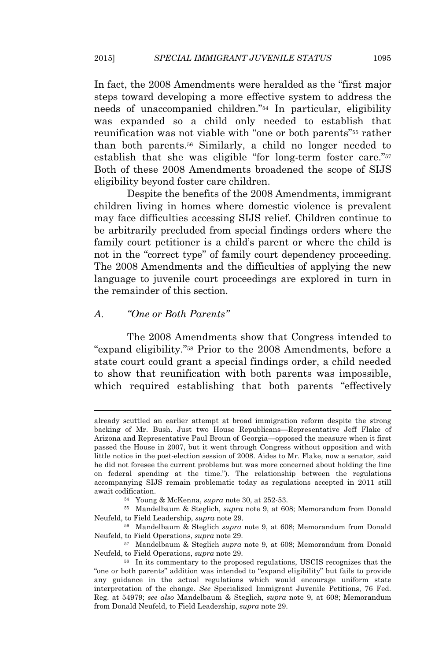In fact, the 2008 Amendments were heralded as the "first major steps toward developing a more effective system to address the needs of unaccompanied children." <sup>54</sup> In particular, eligibility was expanded so a child only needed to establish that reunification was not viable with "one or both parents" <sup>55</sup> rather than both parents.<sup>56</sup> Similarly, a child no longer needed to establish that she was eligible "for long-term foster care."<sup>57</sup> Both of these 2008 Amendments broadened the scope of SIJS eligibility beyond foster care children.

Despite the benefits of the 2008 Amendments, immigrant children living in homes where domestic violence is prevalent may face difficulties accessing SIJS relief. Children continue to be arbitrarily precluded from special findings orders where the family court petitioner is a child's parent or where the child is not in the "correct type" of family court dependency proceeding. The 2008 Amendments and the difficulties of applying the new language to juvenile court proceedings are explored in turn in the remainder of this section.

## *A. "One or Both Parents"*

The 2008 Amendments show that Congress intended to "expand eligibility." <sup>58</sup> Prior to the 2008 Amendments, before a state court could grant a special findings order, a child needed to show that reunification with both parents was impossible, which required establishing that both parents "effectively

already scuttled an earlier attempt at broad immigration reform despite the strong backing of Mr. Bush. Just two House Republicans—Representative Jeff Flake of Arizona and Representative Paul Broun of Georgia—opposed the measure when it first passed the House in 2007, but it went through Congress without opposition and with little notice in the post-election session of 2008. Aides to Mr. Flake, now a senator, said he did not foresee the current problems but was more concerned about holding the line on federal spending at the time."). The relationship between the regulations accompanying SIJS remain problematic today as regulations accepted in 2011 still await codification.

<sup>54</sup> Young & McKenna, *supra* note 30, at 252-53.

<sup>55</sup> Mandelbaum & Steglich, *supra* note 9, at 608; Memorandum from Donald Neufeld, to Field Leadership, *supra* note 29.

<sup>56</sup> Mandelbaum & Steglich *supra* note 9, at 608; Memorandum from Donald Neufeld, to Field Operations, *supra* note 29.

<sup>57</sup> Mandelbaum & Steglich *supra* note 9, at 608; Memorandum from Donald Neufeld, to Field Operations, *supra* note 29.

<sup>58</sup> In its commentary to the proposed regulations, USCIS recognizes that the "one or both parents" addition was intended to "expand eligibility" but fails to provide any guidance in the actual regulations which would encourage uniform state interpretation of the change. *See* Specialized Immigrant Juvenile Petitions, 76 Fed. Reg. at 54979; *see also* Mandelbaum & Steglich, *supra* note 9, at 608; Memorandum from Donald Neufeld, to Field Leadership, *supra* note 29.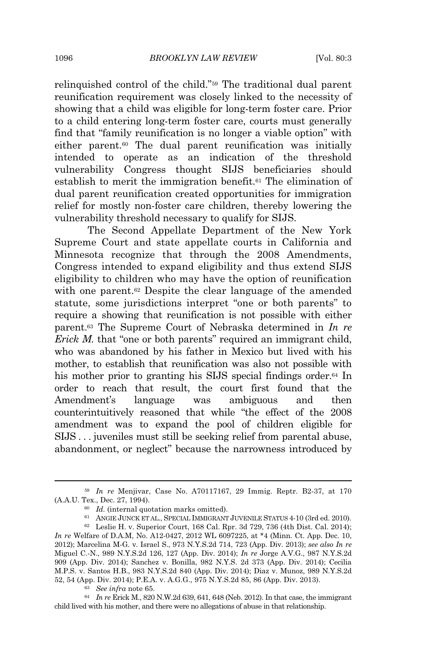relinquished control of the child." <sup>59</sup> The traditional dual parent reunification requirement was closely linked to the necessity of showing that a child was eligible for long-term foster care. Prior to a child entering long-term foster care, courts must generally find that "family reunification is no longer a viable option" with either parent.<sup>60</sup> The dual parent reunification was initially intended to operate as an indication of the threshold vulnerability Congress thought SIJS beneficiaries should establish to merit the immigration benefit.<sup>61</sup> The elimination of dual parent reunification created opportunities for immigration relief for mostly non-foster care children, thereby lowering the vulnerability threshold necessary to qualify for SIJS.

The Second Appellate Department of the New York Supreme Court and state appellate courts in California and Minnesota recognize that through the 2008 Amendments, Congress intended to expand eligibility and thus extend SIJS eligibility to children who may have the option of reunification with one parent.<sup>62</sup> Despite the clear language of the amended statute, some jurisdictions interpret "one or both parents" to require a showing that reunification is not possible with either parent.<sup>63</sup> The Supreme Court of Nebraska determined in *In re Erick M.* that "one or both parents" required an immigrant child, who was abandoned by his father in Mexico but lived with his mother, to establish that reunification was also not possible with his mother prior to granting his SIJS special findings order.<sup>64</sup> In order to reach that result, the court first found that the Amendment's language was ambiguous and then counterintuitively reasoned that while "the effect of the 2008 amendment was to expand the pool of children eligible for SIJS . . . juveniles must still be seeking relief from parental abuse, abandonment, or neglect" because the narrowness introduced by

<sup>59</sup> *In re* Menjivar, Case No. A70117167, 29 Immig. Reptr. B2-37, at 170 (A.A.U. Tex., Dec. 27, 1994).

<sup>60</sup> *Id.* (internal quotation marks omitted).

<sup>61</sup> ANGIE JUNCK ET AL., SPECIAL IMMIGRANT JUVENILE STATUS 4-10 (3rd ed. 2010).

<sup>62</sup> Leslie H. v. Superior Court, 168 Cal. Rpr. 3d 729, 736 (4th Dist. Cal. 2014); *In re* Welfare of D.A.M, No. A12-0427, 2012 WL 6097225, at \*4 (Minn. Ct. App. Dec. 10, 2012); Marcelina M-G. v. Israel S., 973 N.Y.S.2d 714, 723 (App. Div. 2013); *see also In re* Miguel C.-N., 989 N.Y.S.2d 126, 127 (App. Div. 2014); *In re* Jorge A.V.G., 987 N.Y.S.2d 909 (App. Div. 2014); Sanchez v. Bonilla, 982 N.Y.S. 2d 373 (App. Div. 2014); Cecilia M.P.S. v. Santos H.B., 983 N.Y.S.2d 840 (App. Div. 2014); Diaz v. Munoz, 989 N.Y.S.2d 52, 54 (App. Div. 2014); P.E.A. v. A.G.G., 975 N.Y.S.2d 85, 86 (App. Div. 2013).

<sup>63</sup> *See infra* note 65.

<sup>64</sup> *In re* Erick M., 820 N.W.2d 639, 641, 648 (Neb. 2012). In that case, the immigrant child lived with his mother, and there were no allegations of abuse in that relationship.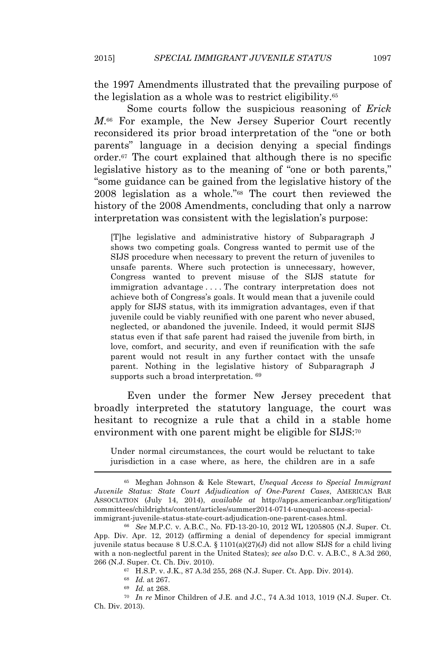the 1997 Amendments illustrated that the prevailing purpose of the legislation as a whole was to restrict eligibility.<sup>65</sup>

Some courts follow the suspicious reasoning of *Erick M*. <sup>66</sup> For example, the New Jersey Superior Court recently reconsidered its prior broad interpretation of the "one or both parents" language in a decision denying a special findings order.<sup>67</sup> The court explained that although there is no specific legislative history as to the meaning of "one or both parents," "some guidance can be gained from the legislative history of the 2008 legislation as a whole." <sup>68</sup> The court then reviewed the history of the 2008 Amendments, concluding that only a narrow interpretation was consistent with the legislation's purpose:

[T]he legislative and administrative history of Subparagraph J shows two competing goals. Congress wanted to permit use of the SIJS procedure when necessary to prevent the return of juveniles to unsafe parents. Where such protection is unnecessary, however, Congress wanted to prevent misuse of the SIJS statute for immigration advantage . . . . The contrary interpretation does not achieve both of Congress's goals. It would mean that a juvenile could apply for SIJS status, with its immigration advantages, even if that juvenile could be viably reunified with one parent who never abused, neglected, or abandoned the juvenile. Indeed, it would permit SIJS status even if that safe parent had raised the juvenile from birth, in love, comfort, and security, and even if reunification with the safe parent would not result in any further contact with the unsafe parent. Nothing in the legislative history of Subparagraph J supports such a broad interpretation. <sup>69</sup>

Even under the former New Jersey precedent that broadly interpreted the statutory language, the court was hesitant to recognize a rule that a child in a stable home environment with one parent might be eligible for SIJS:<sup>70</sup>

Under normal circumstances, the court would be reluctant to take jurisdiction in a case where, as here, the children are in a safe

<sup>69</sup> *Id.* at 268.

<sup>65</sup> Meghan Johnson & Kele Stewart, *Unequal Access to Special Immigrant Juvenile Status: State Court Adjudication of One-Parent Cases*, AMERICAN BAR ASSOCIATION (July 14, 2014), *available at* http://apps.americanbar.org/litigation/ committees/childrights/content/articles/summer2014-0714-unequal-access-specialimmigrant-juvenile-status-state-court-adjudication-one-parent-cases.html.

<sup>66</sup> *See* M.P.C. v. A.B.C., No. FD-13-20-10, 2012 WL 1205805 (N.J. Super. Ct. App. Div. Apr. 12, 2012) (affirming a denial of dependency for special immigrant juvenile status because 8 U.S.C.A. § 1101(a)(27)(J) did not allow SIJS for a child living with a non-neglectful parent in the United States); *see also* D.C. v. A.B.C., 8 A.3d 260, 266 (N.J. Super. Ct. Ch. Div. 2010).

<sup>67</sup> H.S.P. v. J.K., 87 A.3d 255, 268 (N.J. Super. Ct. App. Div. 2014).

<sup>68</sup> *Id.* at 267.

<sup>70</sup> *In re* Minor Children of J.E. and J.C., 74 A.3d 1013, 1019 (N.J. Super. Ct. Ch. Div. 2013).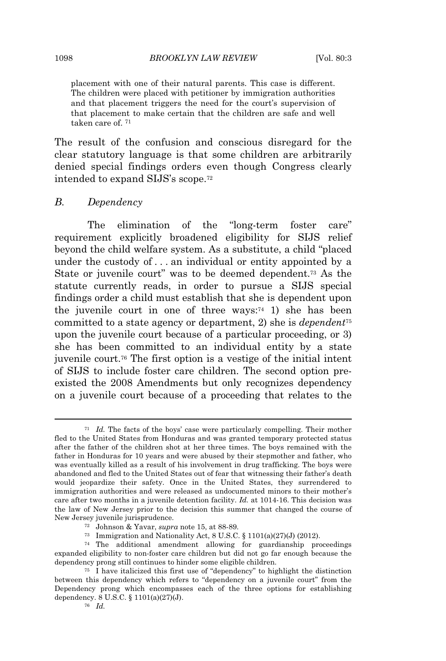placement with one of their natural parents. This case is different. The children were placed with petitioner by immigration authorities and that placement triggers the need for the court's supervision of that placement to make certain that the children are safe and well taken care of. <sup>71</sup>

The result of the confusion and conscious disregard for the clear statutory language is that some children are arbitrarily denied special findings orders even though Congress clearly intended to expand SIJS's scope.<sup>72</sup>

#### *B. Dependency*

The elimination of the "long-term foster care" requirement explicitly broadened eligibility for SIJS relief beyond the child welfare system. As a substitute, a child "placed under the custody of . . . an individual or entity appointed by a State or juvenile court" was to be deemed dependent.<sup>73</sup> As the statute currently reads, in order to pursue a SIJS special findings order a child must establish that she is dependent upon the juvenile court in one of three ways: $74$  1) she has been committed to a state agency or department, 2) she is *dependent*<sup>75</sup> upon the juvenile court because of a particular proceeding, or 3) she has been committed to an individual entity by a state juvenile court.<sup>76</sup> The first option is a vestige of the initial intent of SIJS to include foster care children. The second option preexisted the 2008 Amendments but only recognizes dependency on a juvenile court because of a proceeding that relates to the

<sup>71</sup> *Id.* The facts of the boys' case were particularly compelling. Their mother fled to the United States from Honduras and was granted temporary protected status after the father of the children shot at her three times. The boys remained with the father in Honduras for 10 years and were abused by their stepmother and father, who was eventually killed as a result of his involvement in drug trafficking. The boys were abandoned and fled to the United States out of fear that witnessing their father's death would jeopardize their safety. Once in the United States, they surrendered to immigration authorities and were released as undocumented minors to their mother's care after two months in a juvenile detention facility. *Id.* at 1014-16. This decision was the law of New Jersey prior to the decision this summer that changed the course of New Jersey juvenile jurisprudence.

<sup>72</sup> Johnson & Yavar, *supra* note 15, at 88-89.

<sup>73</sup> Immigration and Nationality Act, 8 U.S.C. § 1101(a)(27)(J) (2012).

 $74$  The additional amendment allowing for guardianship proceedings expanded eligibility to non-foster care children but did not go far enough because the dependency prong still continues to hinder some eligible children.

<sup>75</sup> I have italicized this first use of "dependency" to highlight the distinction between this dependency which refers to "dependency on a juvenile court" from the Dependency prong which encompasses each of the three options for establishing dependency. 8 U.S.C. § 1101(a)(27)(J).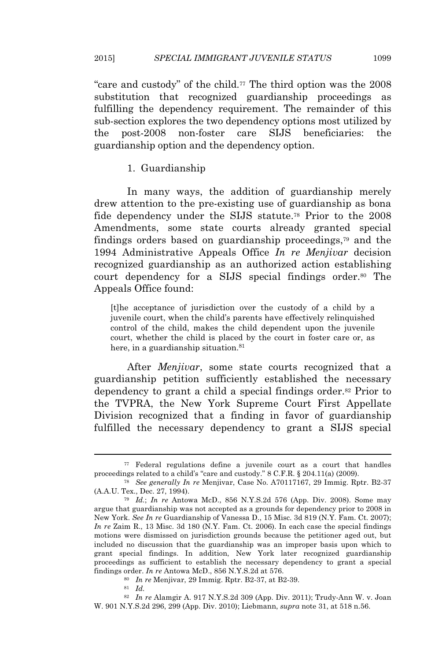"care and custody" of the child.<sup>77</sup> The third option was the 2008 substitution that recognized guardianship proceedings as fulfilling the dependency requirement. The remainder of this sub-section explores the two dependency options most utilized by the post-2008 non-foster care SIJS beneficiaries: the guardianship option and the dependency option.

1. Guardianship

In many ways, the addition of guardianship merely drew attention to the pre-existing use of guardianship as bona fide dependency under the SIJS statute.<sup>78</sup> Prior to the 2008 Amendments, some state courts already granted special findings orders based on guardianship proceedings,<sup>79</sup> and the 1994 Administrative Appeals Office *In re Menjivar* decision recognized guardianship as an authorized action establishing court dependency for a SIJS special findings order.<sup>80</sup> The Appeals Office found:

[t]he acceptance of jurisdiction over the custody of a child by a juvenile court, when the child's parents have effectively relinquished control of the child, makes the child dependent upon the juvenile court, whether the child is placed by the court in foster care or, as here, in a guardianship situation.<sup>81</sup>

After *Menjivar*, some state courts recognized that a guardianship petition sufficiently established the necessary dependency to grant a child a special findings order.<sup>82</sup> Prior to the TVPRA, the New York Supreme Court First Appellate Division recognized that a finding in favor of guardianship fulfilled the necessary dependency to grant a SIJS special

<sup>80</sup> *In re* Menjivar, 29 Immig. Rptr. B2-37, at B2-39.

<sup>82</sup> *In re* Alamgir A. 917 N.Y.S.2d 309 (App. Div. 2011); Trudy-Ann W. v. Joan W. 901 N.Y.S.2d 296, 299 (App. Div. 2010); Liebmann, *supra* note 31, at 518 n.56.

<sup>77</sup> Federal regulations define a juvenile court as a court that handles proceedings related to a child's "care and custody." 8 C.F.R. § 204.11(a) (2009).

<sup>78</sup> *See generally In re* Menjivar, Case No. A70117167, 29 Immig. Rptr. B2-37 (A.A.U. Tex., Dec. 27, 1994).

<sup>79</sup> *Id.*; *In re* Antowa McD., 856 N.Y.S.2d 576 (App. Div. 2008). Some may argue that guardianship was not accepted as a grounds for dependency prior to 2008 in New York. *See In re* Guardianship of Vanessa D., 15 Misc. 3d 819 (N.Y. Fam. Ct. 2007); *In re* Zaim R., 13 Misc. 3d 180 (N.Y. Fam. Ct. 2006). In each case the special findings motions were dismissed on jurisdiction grounds because the petitioner aged out, but included no discussion that the guardianship was an improper basis upon which to grant special findings. In addition, New York later recognized guardianship proceedings as sufficient to establish the necessary dependency to grant a special findings order. *In re* Antowa McD., 856 N.Y.S.2d at 576.

<sup>81</sup> *Id.*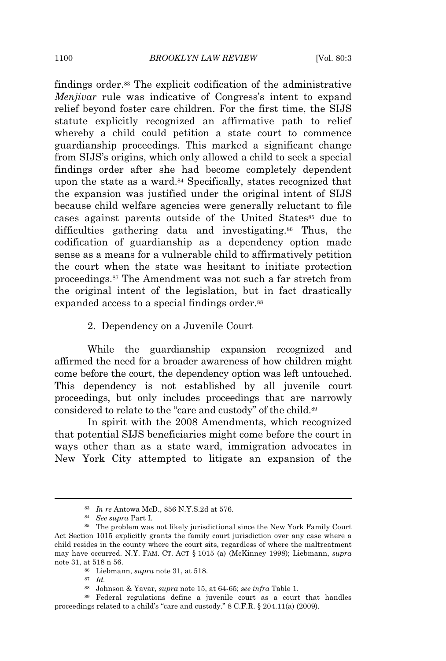findings order.<sup>83</sup> The explicit codification of the administrative *Menjivar* rule was indicative of Congress's intent to expand relief beyond foster care children. For the first time, the SIJS statute explicitly recognized an affirmative path to relief whereby a child could petition a state court to commence guardianship proceedings. This marked a significant change from SIJS's origins, which only allowed a child to seek a special findings order after she had become completely dependent upon the state as a ward.<sup>84</sup> Specifically, states recognized that the expansion was justified under the original intent of SIJS because child welfare agencies were generally reluctant to file cases against parents outside of the United States<sup>85</sup> due to difficulties gathering data and investigating.<sup>86</sup> Thus, the codification of guardianship as a dependency option made sense as a means for a vulnerable child to affirmatively petition the court when the state was hesitant to initiate protection proceedings.<sup>87</sup> The Amendment was not such a far stretch from the original intent of the legislation, but in fact drastically expanded access to a special findings order.<sup>88</sup>

#### 2. Dependency on a Juvenile Court

While the guardianship expansion recognized and affirmed the need for a broader awareness of how children might come before the court, the dependency option was left untouched. This dependency is not established by all juvenile court proceedings, but only includes proceedings that are narrowly considered to relate to the "care and custody" of the child.<sup>89</sup>

In spirit with the 2008 Amendments, which recognized that potential SIJS beneficiaries might come before the court in ways other than as a state ward, immigration advocates in New York City attempted to litigate an expansion of the

<sup>83</sup> *In re* Antowa McD., 856 N.Y.S.2d at 576.

<sup>84</sup> *See supra* Part I.

<sup>85</sup> The problem was not likely jurisdictional since the New York Family Court Act Section 1015 explicitly grants the family court jurisdiction over any case where a child resides in the county where the court sits, regardless of where the maltreatment may have occurred. N.Y. FAM. CT. ACT § 1015 (a) (McKinney 1998); Liebmann, *supra* note 31, at 518 n 56.

<sup>86</sup> Liebmann, *supra* note 31, at 518.

<sup>87</sup> *Id.*

<sup>88</sup> Johnson & Yavar, *supra* note 15, at 64-65; *see infra* Table 1.

<sup>89</sup> Federal regulations define a juvenile court as a court that handles proceedings related to a child's "care and custody." 8 C.F.R. § 204.11(a) (2009).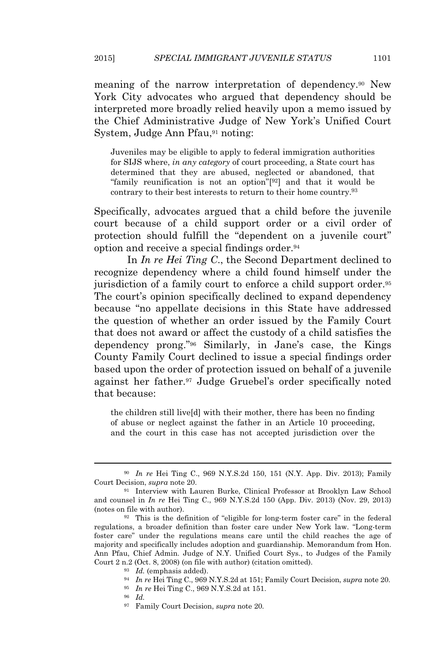meaning of the narrow interpretation of dependency.<sup>90</sup> New York City advocates who argued that dependency should be interpreted more broadly relied heavily upon a memo issued by the Chief Administrative Judge of New York's Unified Court System, Judge Ann Pfau,<sup>91</sup> noting:

Juveniles may be eligible to apply to federal immigration authorities for SIJS where, *in any category* of court proceeding, a State court has determined that they are abused, neglected or abandoned, that "family reunification is not an option"[ <sup>92</sup>] and that it would be contrary to their best interests to return to their home country.<sup>93</sup>

Specifically, advocates argued that a child before the juvenile court because of a child support order or a civil order of protection should fulfill the "dependent on a juvenile court" option and receive a special findings order.<sup>94</sup>

In *In re Hei Ting C*., the Second Department declined to recognize dependency where a child found himself under the jurisdiction of a family court to enforce a child support order.<sup>95</sup> The court's opinion specifically declined to expand dependency because "no appellate decisions in this State have addressed the question of whether an order issued by the Family Court that does not award or affect the custody of a child satisfies the dependency prong." <sup>96</sup> Similarly, in Jane's case, the Kings County Family Court declined to issue a special findings order based upon the order of protection issued on behalf of a juvenile against her father.<sup>97</sup> Judge Gruebel's order specifically noted that because:

the children still live[d] with their mother, there has been no finding of abuse or neglect against the father in an Article 10 proceeding, and the court in this case has not accepted jurisdiction over the

<sup>90</sup> *In re* Hei Ting C., 969 N.Y.S.2d 150, 151 (N.Y. App. Div. 2013); Family Court Decision, *supra* note 20.

<sup>91</sup> Interview with Lauren Burke, Clinical Professor at Brooklyn Law School and counsel in *In re* Hei Ting C., 969 N.Y.S.2d 150 (App. Div. 2013) (Nov. 29, 2013) (notes on file with author).

<sup>92</sup> This is the definition of "eligible for long-term foster care" in the federal regulations, a broader definition than foster care under New York law. "Long-term foster care" under the regulations means care until the child reaches the age of majority and specifically includes adoption and guardianship. Memorandum from Hon. Ann Pfau, Chief Admin. Judge of N.Y. Unified Court Sys., to Judges of the Family Court 2 n.2 (Oct. 8, 2008) (on file with author) (citation omitted).

<sup>93</sup> *Id.* (emphasis added).

<sup>94</sup> *In re* Hei Ting C., 969 N.Y.S.2d at 151; Family Court Decision, *supra* note 20.

<sup>95</sup> *In re* Hei Ting C., 969 N.Y.S.2d at 151.

<sup>96</sup> *Id.*

<sup>97</sup> Family Court Decision, *supra* note 20*.*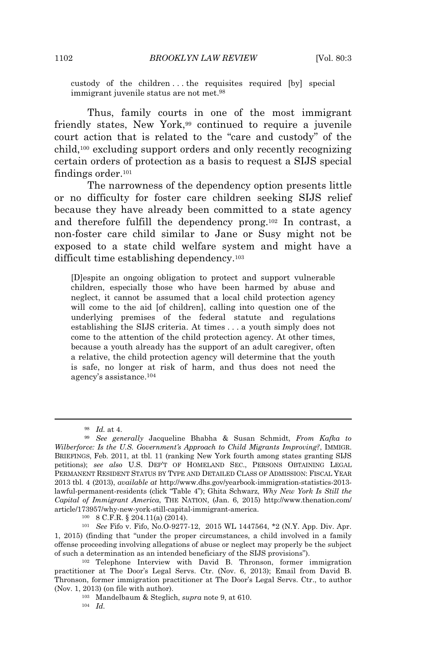custody of the children . . . the requisites required [by] special immigrant juvenile status are not met.<sup>98</sup>

Thus, family courts in one of the most immigrant friendly states, New York,<sup>99</sup> continued to require a juvenile court action that is related to the "care and custody" of the child,<sup>100</sup> excluding support orders and only recently recognizing certain orders of protection as a basis to request a SIJS special findings order.<sup>101</sup>

The narrowness of the dependency option presents little or no difficulty for foster care children seeking SIJS relief because they have already been committed to a state agency and therefore fulfill the dependency prong.<sup>102</sup> In contrast, a non-foster care child similar to Jane or Susy might not be exposed to a state child welfare system and might have a difficult time establishing dependency.<sup>103</sup>

[D]espite an ongoing obligation to protect and support vulnerable children, especially those who have been harmed by abuse and neglect, it cannot be assumed that a local child protection agency will come to the aid [of children], calling into question one of the underlying premises of the federal statute and regulations establishing the SIJS criteria. At times . . . a youth simply does not come to the attention of the child protection agency. At other times, because a youth already has the support of an adult caregiver, often a relative, the child protection agency will determine that the youth is safe, no longer at risk of harm, and thus does not need the agency's assistance.<sup>104</sup>

<sup>98</sup> *Id.* at 4.

<sup>99</sup> *See generally* Jacqueline Bhabha & Susan Schmidt, *From Kafka to Wilberforce: Is the U.S. Government's Approach to Child Migrants Improving?*, IMMIGR. BRIEFINGS, Feb. 2011, at tbl. 11 (ranking New York fourth among states granting SIJS petitions); *see also* U.S. DEP'<sup>T</sup> OF HOMELAND SEC., PERSONS OBTAINING LEGAL PERMANENT RESIDENT STATUS BY TYPE AND DETAILED CLASS OF ADMISSION: FISCAL YEAR 2013 tbl. 4 (2013), *available at* http://www.dhs.gov/yearbook-immigration-statistics-2013 lawful-permanent-residents (click "Table 4"); Ghita Schwarz, *Why New York Is Still the Capital of Immigrant America*, THE NATION, (Jan. 6, 2015) http://www.thenation.com/ article/173957/why-new-york-still-capital-immigrant-america.

<sup>100</sup> 8 C.F.R. § 204.11(a) (2014).

<sup>101</sup> *See* Fifo v. Fifo, No.O-9277-12, 2015 WL 1447564, \*2 (N.Y. App. Div. Apr. 1, 2015) (finding that "under the proper circumstances, a child involved in a family offense proceeding involving allegations of abuse or neglect may properly be the subject of such a determination as an intended beneficiary of the SIJS provisions").

<sup>102</sup> Telephone Interview with David B. Thronson, former immigration practitioner at The Door's Legal Servs. Ctr. (Nov. 6, 2013); Email from David B. Thronson, former immigration practitioner at The Door's Legal Servs. Ctr., to author (Nov. 1, 2013) (on file with author).

<sup>103</sup> Mandelbaum & Steglich, *supra* note 9, at 610.

<sup>104</sup> *Id.*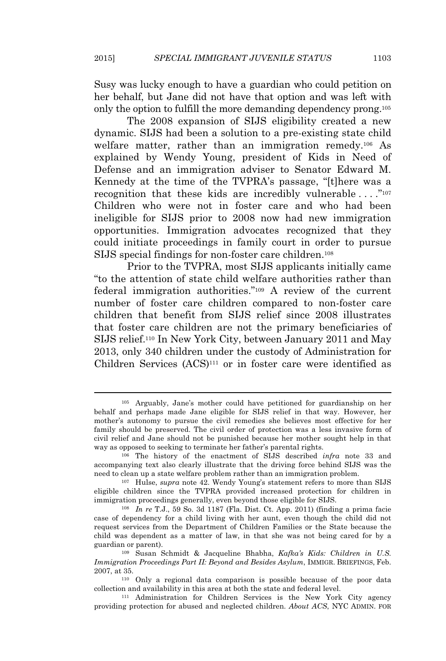Susy was lucky enough to have a guardian who could petition on her behalf, but Jane did not have that option and was left with only the option to fulfill the more demanding dependency prong.<sup>105</sup>

The 2008 expansion of SIJS eligibility created a new dynamic. SIJS had been a solution to a pre-existing state child welfare matter, rather than an immigration remedy.<sup>106</sup> As explained by Wendy Young, president of Kids in Need of Defense and an immigration adviser to Senator Edward M. Kennedy at the time of the TVPRA's passage, "[t]here was a recognition that these kids are incredibly vulnerable . . . . "107 Children who were not in foster care and who had been ineligible for SIJS prior to 2008 now had new immigration opportunities. Immigration advocates recognized that they could initiate proceedings in family court in order to pursue SIJS special findings for non-foster care children.<sup>108</sup>

Prior to the TVPRA, most SIJS applicants initially came "to the attention of state child welfare authorities rather than federal immigration authorities." <sup>109</sup> A review of the current number of foster care children compared to non-foster care children that benefit from SIJS relief since 2008 illustrates that foster care children are not the primary beneficiaries of SIJS relief.<sup>110</sup> In New York City, between January 2011 and May 2013, only 340 children under the custody of Administration for Children Services (ACS)<sup>111</sup> or in foster care were identified as

<sup>105</sup> Arguably, Jane's mother could have petitioned for guardianship on her behalf and perhaps made Jane eligible for SIJS relief in that way. However, her mother's autonomy to pursue the civil remedies she believes most effective for her family should be preserved. The civil order of protection was a less invasive form of civil relief and Jane should not be punished because her mother sought help in that way as opposed to seeking to terminate her father's parental rights.

<sup>106</sup> The history of the enactment of SIJS described *infra* note 33 and accompanying text also clearly illustrate that the driving force behind SIJS was the need to clean up a state welfare problem rather than an immigration problem.

<sup>107</sup> Hulse, *supra* note 42. Wendy Young's statement refers to more than SIJS eligible children since the TVPRA provided increased protection for children in immigration proceedings generally, even beyond those eligible for SIJS.

<sup>108</sup> *In re* T.J., 59 So. 3d 1187 (Fla. Dist. Ct. App. 2011) (finding a prima facie case of dependency for a child living with her aunt, even though the child did not request services from the Department of Children Families or the State because the child was dependent as a matter of law, in that she was not being cared for by a guardian or parent).

<sup>109</sup> Susan Schmidt & Jacqueline Bhabha, *Kafka's Kids: Children in U.S. Immigration Proceedings Part II: Beyond and Besides Asylum*, IMMIGR. BRIEFINGS, Feb. 2007, at 35.

<sup>110</sup> Only a regional data comparison is possible because of the poor data collection and availability in this area at both the state and federal level.

<sup>111</sup> Administration for Children Services is the New York City agency providing protection for abused and neglected children. *About ACS*, NYC ADMIN. FOR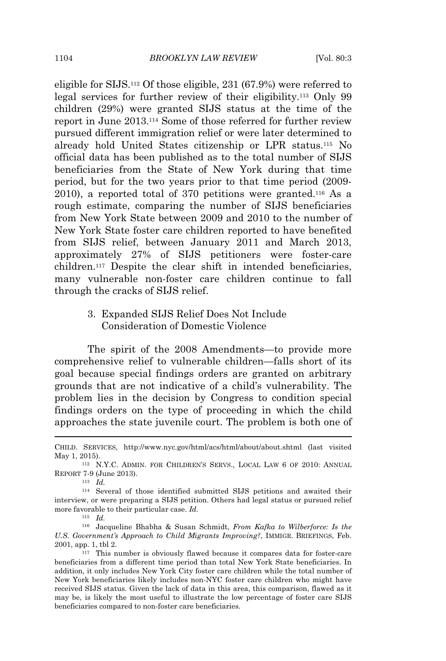eligible for SIJS.<sup>112</sup> Of those eligible, 231 (67.9%) were referred to legal services for further review of their eligibility.<sup>113</sup> Only 99 children (29%) were granted SIJS status at the time of the report in June 2013.<sup>114</sup> Some of those referred for further review pursued different immigration relief or were later determined to already hold United States citizenship or LPR status.<sup>115</sup> No official data has been published as to the total number of SIJS beneficiaries from the State of New York during that time period, but for the two years prior to that time period (2009- 2010), a reported total of 370 petitions were granted.<sup>116</sup> As a rough estimate, comparing the number of SIJS beneficiaries from New York State between 2009 and 2010 to the number of New York State foster care children reported to have benefited from SIJS relief, between January 2011 and March 2013, approximately 27% of SIJS petitioners were foster-care children.<sup>117</sup> Despite the clear shift in intended beneficiaries, many vulnerable non-foster care children continue to fall through the cracks of SIJS relief.

# 3. Expanded SIJS Relief Does Not Include Consideration of Domestic Violence

The spirit of the 2008 Amendments—to provide more comprehensive relief to vulnerable children—falls short of its goal because special findings orders are granted on arbitrary grounds that are not indicative of a child's vulnerability. The problem lies in the decision by Congress to condition special findings orders on the type of proceeding in which the child approaches the state juvenile court. The problem is both one of

<sup>113</sup> *Id.*

<sup>115</sup> *Id.*

CHILD. SERVICES, http://www.nyc.gov/html/acs/html/about/about.shtml (last visited May 1, 2015).

<sup>112</sup> N.Y.C. ADMIN. FOR CHILDREN'<sup>S</sup> SERVS., LOCAL LAW 6 OF 2010: ANNUAL REPORT 7-9 (June 2013).

<sup>114</sup> Several of those identified submitted SIJS petitions and awaited their interview, or were preparing a SIJS petition. Others had legal status or pursued relief more favorable to their particular case. *Id.*

<sup>116</sup> Jacqueline Bhabha & Susan Schmidt, *From Kafka to Wilberforce: Is the U.S. Government's Approach to Child Migrants Improving?*, IMMIGR. BRIEFINGS, Feb. 2001, app. 1, tbl 2.

<sup>117</sup> This number is obviously flawed because it compares data for foster-care beneficiaries from a different time period than total New York State beneficiaries. In addition, it only includes New York City foster care children while the total number of New York beneficiaries likely includes non-NYC foster care children who might have received SIJS status. Given the lack of data in this area, this comparison, flawed as it may be, is likely the most useful to illustrate the low percentage of foster care SIJS beneficiaries compared to non-foster care beneficiaries.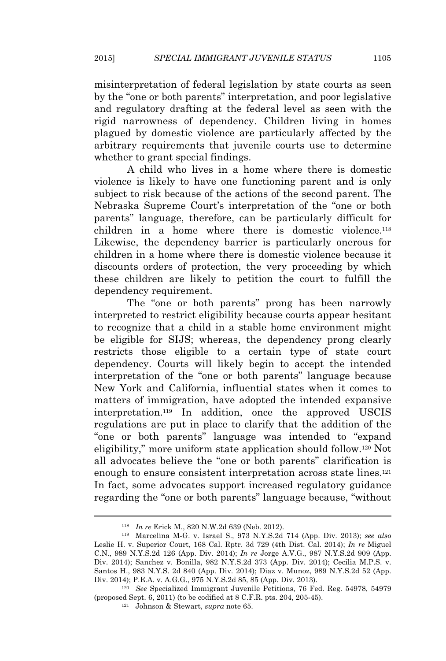misinterpretation of federal legislation by state courts as seen by the "one or both parents" interpretation, and poor legislative and regulatory drafting at the federal level as seen with the rigid narrowness of dependency. Children living in homes plagued by domestic violence are particularly affected by the arbitrary requirements that juvenile courts use to determine whether to grant special findings.

A child who lives in a home where there is domestic violence is likely to have one functioning parent and is only subject to risk because of the actions of the second parent. The Nebraska Supreme Court's interpretation of the "one or both parents" language, therefore, can be particularly difficult for children in a home where there is domestic violence.<sup>118</sup> Likewise, the dependency barrier is particularly onerous for children in a home where there is domestic violence because it discounts orders of protection, the very proceeding by which these children are likely to petition the court to fulfill the dependency requirement.

The "one or both parents" prong has been narrowly interpreted to restrict eligibility because courts appear hesitant to recognize that a child in a stable home environment might be eligible for SIJS; whereas, the dependency prong clearly restricts those eligible to a certain type of state court dependency. Courts will likely begin to accept the intended interpretation of the "one or both parents" language because New York and California, influential states when it comes to matters of immigration, have adopted the intended expansive interpretation.<sup>119</sup> In addition, once the approved USCIS regulations are put in place to clarify that the addition of the "one or both parents" language was intended to "expand eligibility," more uniform state application should follow.<sup>120</sup> Not all advocates believe the "one or both parents" clarification is enough to ensure consistent interpretation across state lines.<sup>121</sup> In fact, some advocates support increased regulatory guidance regarding the "one or both parents" language because, "without

<sup>118</sup> *In re* Erick M., 820 N.W.2d 639 (Neb. 2012).

<sup>119</sup> Marcelina M-G. v. Israel S., 973 N.Y.S.2d 714 (App. Div. 2013); *see also* Leslie H. v. Superior Court, 168 Cal. Rptr. 3d 729 (4th Dist. Cal. 2014); *In re* Miguel C.N., 989 N.Y.S.2d 126 (App. Div. 2014); *In re* Jorge A.V.G., 987 N.Y.S.2d 909 (App. Div. 2014); Sanchez v. Bonilla, 982 N.Y.S.2d 373 (App. Div. 2014); Cecilia M.P.S. v. Santos H., 983 N.Y.S. 2d 840 (App. Div. 2014); Diaz v. Munoz, 989 N.Y.S.2d 52 (App. Div. 2014); P.E.A. v. A.G.G., 975 N.Y.S.2d 85, 85 (App. Div. 2013).

<sup>120</sup> *See* Specialized Immigrant Juvenile Petitions, 76 Fed. Reg. 54978, 54979 (proposed Sept. 6, 2011) (to be codified at 8 C.F.R. pts. 204, 205-45).

<sup>121</sup> Johnson & Stewart, *supra* note 65.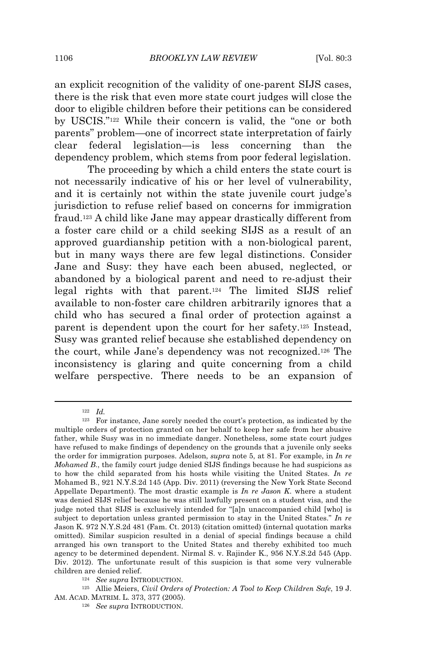an explicit recognition of the validity of one-parent SIJS cases, there is the risk that even more state court judges will close the door to eligible children before their petitions can be considered by USCIS." <sup>122</sup> While their concern is valid, the "one or both parents" problem—one of incorrect state interpretation of fairly clear federal legislation—is less concerning than the dependency problem, which stems from poor federal legislation.

The proceeding by which a child enters the state court is not necessarily indicative of his or her level of vulnerability, and it is certainly not within the state juvenile court judge's jurisdiction to refuse relief based on concerns for immigration fraud.<sup>123</sup> A child like Jane may appear drastically different from a foster care child or a child seeking SIJS as a result of an approved guardianship petition with a non-biological parent, but in many ways there are few legal distinctions. Consider Jane and Susy: they have each been abused, neglected, or abandoned by a biological parent and need to re-adjust their legal rights with that parent.<sup>124</sup> The limited SIJS relief available to non-foster care children arbitrarily ignores that a child who has secured a final order of protection against a parent is dependent upon the court for her safety.<sup>125</sup> Instead, Susy was granted relief because she established dependency on the court, while Jane's dependency was not recognized.<sup>126</sup> The inconsistency is glaring and quite concerning from a child welfare perspective. There needs to be an expansion of

<sup>122</sup> *Id.*

<sup>123</sup> For instance, Jane sorely needed the court's protection, as indicated by the multiple orders of protection granted on her behalf to keep her safe from her abusive father, while Susy was in no immediate danger. Nonetheless, some state court judges have refused to make findings of dependency on the grounds that a juvenile only seeks the order for immigration purposes. Adelson, *supra* note 5, at 81. For example, in *In re Mohamed B*., the family court judge denied SIJS findings because he had suspicions as to how the child separated from his hosts while visiting the United States. *In re* Mohamed B., 921 N.Y.S.2d 145 (App. Div. 2011) (reversing the New York State Second Appellate Department). The most drastic example is *In re Jason K*. where a student was denied SIJS relief because he was still lawfully present on a student visa, and the judge noted that SIJS is exclusively intended for "[a]n unaccompanied child [who] is subject to deportation unless granted permission to stay in the United States." *In re* Jason K. 972 N.Y.S.2d 481 (Fam. Ct. 2013) (citation omitted) (internal quotation marks omitted). Similar suspicion resulted in a denial of special findings because a child arranged his own transport to the United States and thereby exhibited too much agency to be determined dependent. Nirmal S. v. Rajinder K., 956 N.Y.S.2d 545 (App. Div. 2012). The unfortunate result of this suspicion is that some very vulnerable children are denied relief.

<sup>124</sup> *See supra* INTRODUCTION.

<sup>125</sup> Allie Meiers, *Civil Orders of Protection: A Tool to Keep Children Safe*, 19 J. AM. ACAD. MATRIM. L. 373, 377 (2005).

<sup>126</sup> *See supra* INTRODUCTION.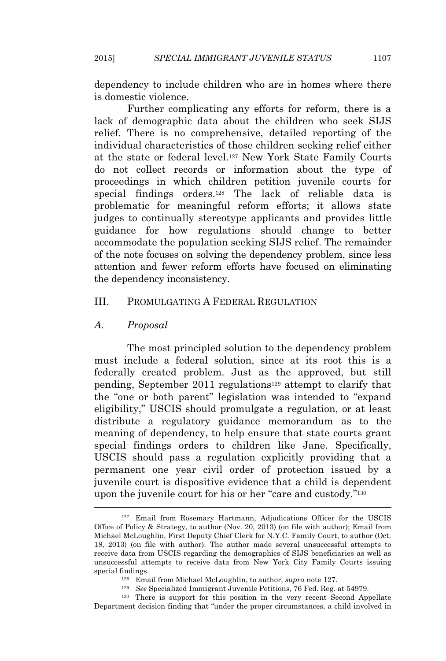dependency to include children who are in homes where there is domestic violence.

Further complicating any efforts for reform, there is a lack of demographic data about the children who seek SIJS relief. There is no comprehensive, detailed reporting of the individual characteristics of those children seeking relief either at the state or federal level.<sup>127</sup> New York State Family Courts do not collect records or information about the type of proceedings in which children petition juvenile courts for special findings orders.<sup>128</sup> The lack of reliable data is problematic for meaningful reform efforts; it allows state judges to continually stereotype applicants and provides little guidance for how regulations should change to better accommodate the population seeking SIJS relief. The remainder of the note focuses on solving the dependency problem, since less attention and fewer reform efforts have focused on eliminating the dependency inconsistency.

#### III. PROMULGATING A FEDERAL REGULATION

## *A. Proposal*

The most principled solution to the dependency problem must include a federal solution, since at its root this is a federally created problem. Just as the approved, but still pending, September 2011 regulations<sup>129</sup> attempt to clarify that the "one or both parent" legislation was intended to "expand eligibility," USCIS should promulgate a regulation, or at least distribute a regulatory guidance memorandum as to the meaning of dependency, to help ensure that state courts grant special findings orders to children like Jane. Specifically, USCIS should pass a regulation explicitly providing that a permanent one year civil order of protection issued by a juvenile court is dispositive evidence that a child is dependent upon the juvenile court for his or her "care and custody."<sup>130</sup>

<sup>127</sup> Email from Rosemary Hartmann, Adjudications Officer for the USCIS Office of Policy & Strategy, to author (Nov. 20, 2013) (on file with author); Email from Michael McLoughlin, First Deputy Chief Clerk for N.Y.C. Family Court, to author (Oct. 18, 2013) (on file with author). The author made several unsuccessful attempts to receive data from USCIS regarding the demographics of SIJS beneficiaries as well as unsuccessful attempts to receive data from New York City Family Courts issuing special findings.

<sup>128</sup> Email from Michael McLoughlin, to author, *supra* note 127.

<sup>129</sup> *See* Specialized Immigrant Juvenile Petitions, 76 Fed. Reg. at 54979.

<sup>130</sup> There is support for this position in the very recent Second Appellate Department decision finding that "under the proper circumstances, a child involved in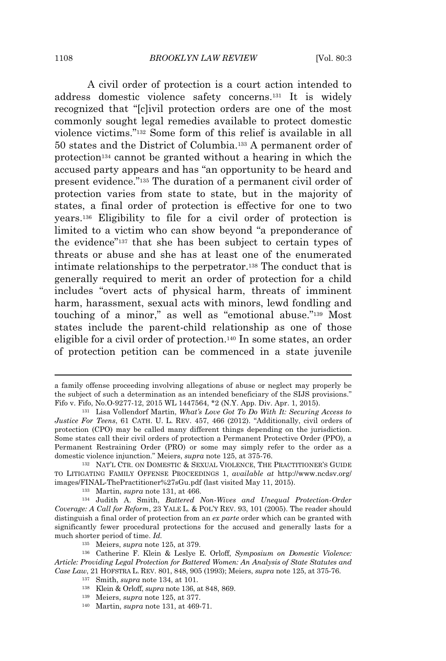A civil order of protection is a court action intended to address domestic violence safety concerns.<sup>131</sup> It is widely recognized that "[c]ivil protection orders are one of the most commonly sought legal remedies available to protect domestic violence victims." <sup>132</sup> Some form of this relief is available in all 50 states and the District of Columbia.<sup>133</sup> A permanent order of protection<sup>134</sup> cannot be granted without a hearing in which the accused party appears and has "an opportunity to be heard and present evidence." <sup>135</sup> The duration of a permanent civil order of protection varies from state to state, but in the majority of states, a final order of protection is effective for one to two years.<sup>136</sup> Eligibility to file for a civil order of protection is limited to a victim who can show beyond "a preponderance of the evidence" <sup>137</sup> that she has been subject to certain types of threats or abuse and she has at least one of the enumerated intimate relationships to the perpetrator.<sup>138</sup> The conduct that is generally required to merit an order of protection for a child includes "overt acts of physical harm, threats of imminent harm, harassment, sexual acts with minors, lewd fondling and touching of a minor," as well as "emotional abuse."<sup>139</sup> Most states include the parent-child relationship as one of those eligible for a civil order of protection.<sup>140</sup> In some states, an order of protection petition can be commenced in a state juvenile

a family offense proceeding involving allegations of abuse or neglect may properly be the subject of such a determination as an intended beneficiary of the SIJS provisions." Fifo v. Fifo, No.O-9277-12, 2015 WL 1447564, \*2 (N.Y. App. Div. Apr. 1, 2015).

<sup>131</sup> Lisa Vollendorf Martin, *What's Love Got To Do With It: Securing Access to Justice For Teens*, 61 CATH. U. L. REV. 457, 466 (2012). "Additionally, civil orders of protection (CPO) may be called many different things depending on the jurisdiction. Some states call their civil orders of protection a Permanent Protective Order (PPO), a Permanent Restraining Order (PRO) or some may simply refer to the order as a domestic violence injunction." Meiers, *supra* note 125, at 375-76.

<sup>&</sup>lt;sup>132</sup> NAT'L CTR. ON DOMESTIC & SEXUAL VIOLENCE, THE PRACTITIONER'S GUIDE TO LITIGATING FAMILY OFFENSE PROCEEDINGS 1, *available at* http://www.ncdsv.org/ images/FINAL-ThePractitioner%27sGu.pdf (last visited May 11, 2015).

<sup>133</sup> Martin, *supra* note 131, at 466.

<sup>134</sup> Judith A. Smith, *Battered Non-Wives and Unequal Protection-Order Coverage: A Call for Reform*, 23 YALE L. & POL'<sup>Y</sup> REV. 93, 101 (2005). The reader should distinguish a final order of protection from an *ex parte* order which can be granted with significantly fewer procedural protections for the accused and generally lasts for a much shorter period of time. *Id.*

<sup>135</sup> Meiers, *supra* note 125, at 379.

<sup>136</sup> Catherine F. Klein & Leslye E. Orloff, *Symposium on Domestic Violence: Article: Providing Legal Protection for Battered Women: An Analysis of State Statutes and Case Law*, 21 HOFSTRA L. REV. 801, 848, 905 (1993); Meiers, *supra* note 125, at 375-76.

<sup>137</sup> Smith, *supra* note 134, at 101.

<sup>138</sup> Klein & Orloff, *supra* note 136, at 848, 869.

<sup>139</sup> Meiers, *supra* note 125, at 377.

<sup>140</sup> Martin, *supra* note 131, at 469-71.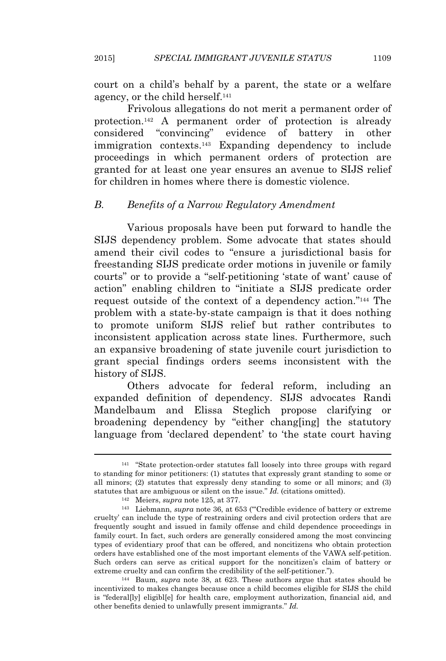court on a child's behalf by a parent, the state or a welfare agency, or the child herself.<sup>141</sup>

Frivolous allegations do not merit a permanent order of protection.<sup>142</sup> A permanent order of protection is already considered "convincing" evidence of battery in other immigration contexts.<sup>143</sup> Expanding dependency to include proceedings in which permanent orders of protection are granted for at least one year ensures an avenue to SIJS relief for children in homes where there is domestic violence.

## *B. Benefits of a Narrow Regulatory Amendment*

Various proposals have been put forward to handle the SIJS dependency problem. Some advocate that states should amend their civil codes to "ensure a jurisdictional basis for freestanding SIJS predicate order motions in juvenile or family courts" or to provide a "self-petitioning 'state of want' cause of action" enabling children to "initiate a SIJS predicate order request outside of the context of a dependency action."<sup>144</sup> The problem with a state-by-state campaign is that it does nothing to promote uniform SIJS relief but rather contributes to inconsistent application across state lines. Furthermore, such an expansive broadening of state juvenile court jurisdiction to grant special findings orders seems inconsistent with the history of SIJS.

Others advocate for federal reform, including an expanded definition of dependency. SIJS advocates Randi Mandelbaum and Elissa Steglich propose clarifying or broadening dependency by "either chang[ing] the statutory language from 'declared dependent' to 'the state court having

<sup>141</sup> "State protection-order statutes fall loosely into three groups with regard to standing for minor petitioners: (1) statutes that expressly grant standing to some or all minors; (2) statutes that expressly deny standing to some or all minors; and (3) statutes that are ambiguous or silent on the issue." *Id.* (citations omitted).

<sup>142</sup> Meiers, *supra* note 125, at 377.

<sup>143</sup> Liebmann, *supra* note 36, at 653 ("'Credible evidence of battery or extreme cruelty' can include the type of restraining orders and civil protection orders that are frequently sought and issued in family offense and child dependence proceedings in family court. In fact, such orders are generally considered among the most convincing types of evidentiary proof that can be offered, and noncitizens who obtain protection orders have established one of the most important elements of the VAWA self-petition. Such orders can serve as critical support for the noncitizen's claim of battery or extreme cruelty and can confirm the credibility of the self-petitioner.").

<sup>144</sup> Baum, *supra* note 38, at 623. These authors argue that states should be incentivized to makes changes because once a child becomes eligible for SIJS the child is "federal[ly] eligibl[e] for health care, employment authorization, financial aid, and other benefits denied to unlawfully present immigrants." *Id.*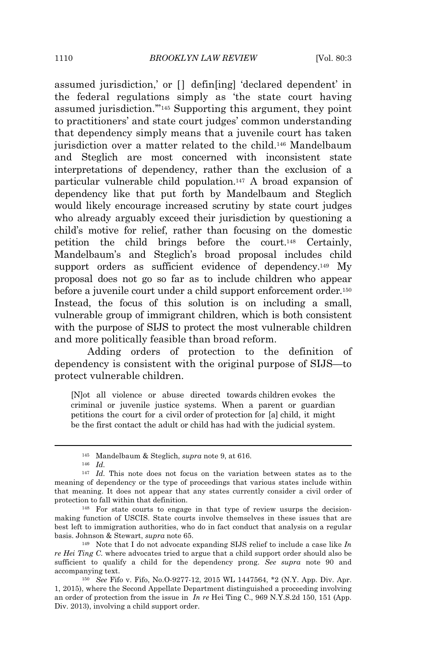assumed jurisdiction,' or  $\left[ \cdot \right]$  defin $\left[ \cdot \right]$  declared dependent' in the federal regulations simply as 'the state court having assumed jurisdiction.'" <sup>145</sup> Supporting this argument, they point to practitioners' and state court judges' common understanding that dependency simply means that a juvenile court has taken jurisdiction over a matter related to the child.<sup>146</sup> Mandelbaum and Steglich are most concerned with inconsistent state interpretations of dependency, rather than the exclusion of a particular vulnerable child population.<sup>147</sup> A broad expansion of dependency like that put forth by Mandelbaum and Steglich would likely encourage increased scrutiny by state court judges who already arguably exceed their jurisdiction by questioning a child's motive for relief, rather than focusing on the domestic petition the child brings before the court.<sup>148</sup> Certainly, Mandelbaum's and Steglich's broad proposal includes child support orders as sufficient evidence of dependency.<sup>149</sup> My proposal does not go so far as to include children who appear before a juvenile court under a child support enforcement order*.* 150 Instead, the focus of this solution is on including a small, vulnerable group of immigrant children, which is both consistent with the purpose of SIJS to protect the most vulnerable children and more politically feasible than broad reform.

Adding orders of protection to the definition of dependency is consistent with the original purpose of SIJS—to protect vulnerable children.

[N]ot all violence or abuse directed towards children evokes the criminal or juvenile justice systems. When a parent or guardian petitions the court for a civil order of protection for [a] child, it might be the first contact the adult or child has had with the judicial system.

<sup>146</sup> *Id.*

<sup>145</sup> Mandelbaum & Steglich, *supra* note 9, at 616.

<sup>147</sup> *Id.* This note does not focus on the variation between states as to the meaning of dependency or the type of proceedings that various states include within that meaning. It does not appear that any states currently consider a civil order of protection to fall within that definition.

<sup>148</sup> For state courts to engage in that type of review usurps the decisionmaking function of USCIS. State courts involve themselves in these issues that are best left to immigration authorities, who do in fact conduct that analysis on a regular basis. Johnson & Stewart, *supra* note 65.

<sup>149</sup> Note that I do not advocate expanding SIJS relief to include a case like *In re Hei Ting C*. where advocates tried to argue that a child support order should also be sufficient to qualify a child for the dependency prong. *See supra* note 90 and accompanying text.

<sup>150</sup> *See* Fifo v. Fifo, No.O-9277-12, 2015 WL 1447564, \*2 (N.Y. App. Div. Apr. 1, 2015), where the Second Appellate Department distinguished a proceeding involving an order of protection from the issue in *In re* Hei Ting C., 969 N.Y.S.2d 150, 151 (App. Div. 2013), involving a child support order.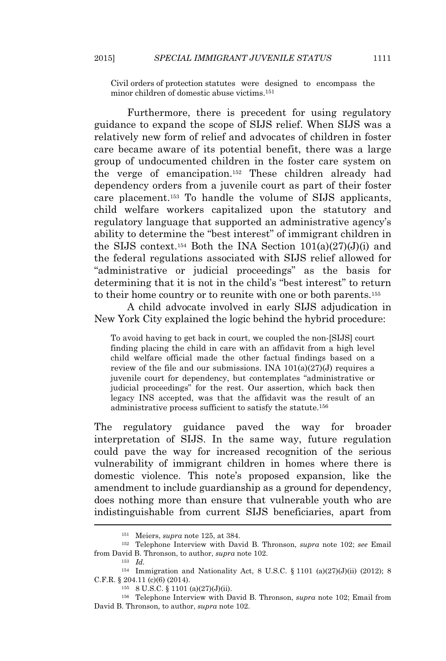Civil orders of protection statutes were designed to encompass the minor children of domestic abuse victims.<sup>151</sup>

Furthermore, there is precedent for using regulatory guidance to expand the scope of SIJS relief. When SIJS was a relatively new form of relief and advocates of children in foster care became aware of its potential benefit, there was a large group of undocumented children in the foster care system on the verge of emancipation.<sup>152</sup> These children already had dependency orders from a juvenile court as part of their foster care placement.<sup>153</sup> To handle the volume of SIJS applicants, child welfare workers capitalized upon the statutory and regulatory language that supported an administrative agency's ability to determine the "best interest" of immigrant children in the SIJS context.<sup>154</sup> Both the INA Section  $101(a)(27)(J)(i)$  and the federal regulations associated with SIJS relief allowed for "administrative or judicial proceedings" as the basis for determining that it is not in the child's "best interest" to return to their home country or to reunite with one or both parents.<sup>155</sup>

A child advocate involved in early SIJS adjudication in New York City explained the logic behind the hybrid procedure:

To avoid having to get back in court, we coupled the non-[SIJS] court finding placing the child in care with an affidavit from a high level child welfare official made the other factual findings based on a review of the file and our submissions. INA  $101(a)(27)(J)$  requires a juvenile court for dependency, but contemplates "administrative or judicial proceedings" for the rest. Our assertion, which back then legacy INS accepted, was that the affidavit was the result of an administrative process sufficient to satisfy the statute.<sup>156</sup>

The regulatory guidance paved the way for broader interpretation of SIJS. In the same way, future regulation could pave the way for increased recognition of the serious vulnerability of immigrant children in homes where there is domestic violence. This note's proposed expansion, like the amendment to include guardianship as a ground for dependency, does nothing more than ensure that vulnerable youth who are indistinguishable from current SIJS beneficiaries, apart from

<sup>151</sup> Meiers, *supra* note 125, at 384.

<sup>152</sup> Telephone Interview with David B. Thronson, *supra* note 102; *see* Email from David B. Thronson, to author, *supra* note 102.

<sup>153</sup> *Id.*

<sup>&</sup>lt;sup>154</sup> Immigration and Nationality Act, 8 U.S.C. § 1101 (a)(27)(J)(ii) (2012); 8 C.F.R. § 204.11 (c)(6) (2014).

<sup>155</sup> 8 U.S.C. § 1101 (a)(27)(J)(ii).

<sup>156</sup> Telephone Interview with David B. Thronson, *supra* note 102; Email from David B. Thronson, to author, *supra* note 102.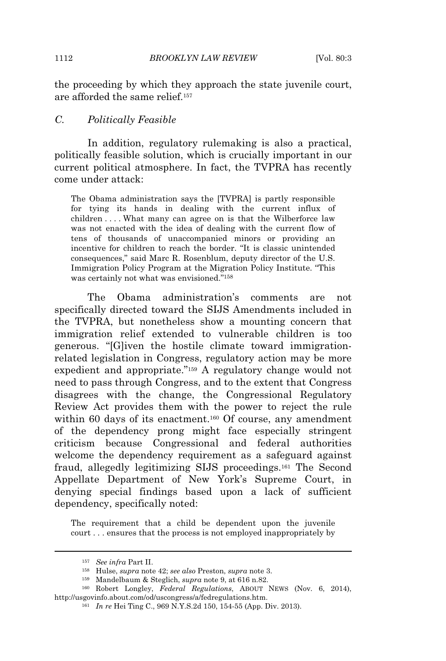the proceeding by which they approach the state juvenile court, are afforded the same relief.<sup>157</sup>

#### *C. Politically Feasible*

In addition, regulatory rulemaking is also a practical, politically feasible solution, which is crucially important in our current political atmosphere. In fact, the TVPRA has recently come under attack:

The Obama administration says the [TVPRA] is partly responsible for tying its hands in dealing with the current influx of children . . . . What many can agree on is that the Wilberforce law was not enacted with the idea of dealing with the current flow of tens of thousands of unaccompanied minors or providing an incentive for children to reach the border. "It is classic unintended consequences," said Marc R. Rosenblum, deputy director of the U.S. Immigration Policy Program at the Migration Policy Institute. "This was certainly not what was envisioned." 158

The Obama administration's comments are not specifically directed toward the SIJS Amendments included in the TVPRA, but nonetheless show a mounting concern that immigration relief extended to vulnerable children is too generous. "[G]iven the hostile climate toward immigrationrelated legislation in Congress, regulatory action may be more expedient and appropriate." <sup>159</sup> A regulatory change would not need to pass through Congress, and to the extent that Congress disagrees with the change, the Congressional Regulatory Review Act provides them with the power to reject the rule within 60 days of its enactment.<sup>160</sup> Of course, any amendment of the dependency prong might face especially stringent criticism because Congressional and federal authorities welcome the dependency requirement as a safeguard against fraud, allegedly legitimizing SIJS proceedings.<sup>161</sup> The Second Appellate Department of New York's Supreme Court, in denying special findings based upon a lack of sufficient dependency, specifically noted:

The requirement that a child be dependent upon the juvenile court . . . ensures that the process is not employed inappropriately by

<sup>157</sup> *See infra* Part II.

<sup>158</sup> Hulse, *supra* note 42; *see also* Preston, *supra* note 3.

<sup>159</sup> Mandelbaum & Steglich, *supra* note 9, at 616 n.82.

<sup>160</sup> Robert Longley, *Federal Regulations*, ABOUT NEWS (Nov. 6, 2014), http://usgovinfo.about.com/od/uscongress/a/fedregulations.htm.

<sup>161</sup> *In re* Hei Ting C., 969 N.Y.S.2d 150, 154-55 (App. Div. 2013).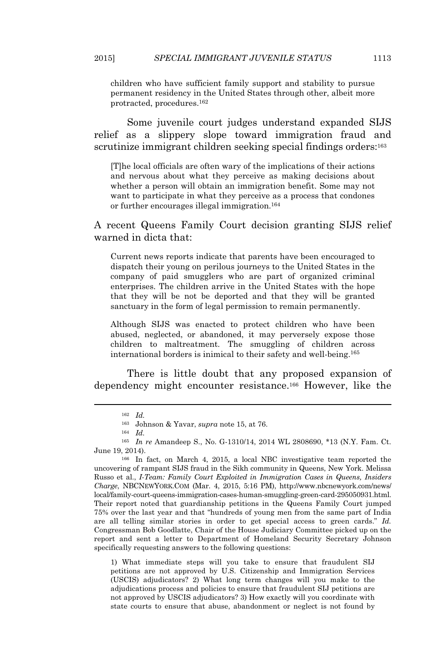children who have sufficient family support and stability to pursue permanent residency in the United States through other, albeit more protracted, procedures.<sup>162</sup>

Some juvenile court judges understand expanded SIJS relief as a slippery slope toward immigration fraud and scrutinize immigrant children seeking special findings orders:<sup>163</sup>

[T]he local officials are often wary of the implications of their actions and nervous about what they perceive as making decisions about whether a person will obtain an immigration benefit. Some may not want to participate in what they perceive as a process that condones or further encourages illegal immigration.<sup>164</sup>

A recent Queens Family Court decision granting SIJS relief warned in dicta that:

Current news reports indicate that parents have been encouraged to dispatch their young on perilous journeys to the United States in the company of paid smugglers who are part of organized criminal enterprises. The children arrive in the United States with the hope that they will be not be deported and that they will be granted sanctuary in the form of legal permission to remain permanently.

Although SIJS was enacted to protect children who have been abused, neglected, or abandoned, it may perversely expose those children to maltreatment. The smuggling of children across international borders is inimical to their safety and well-being.<sup>165</sup>

There is little doubt that any proposed expansion of dependency might encounter resistance.<sup>166</sup> However, like the

<sup>166</sup> In fact, on March 4, 2015, a local NBC investigative team reported the uncovering of rampant SIJS fraud in the Sikh community in Queens, New York. Melissa Russo et al., *I-Team: Family Court Exploited in Immigration Cases in Queens, Insiders Charge*, NBCNEWYORK.COM (Mar. 4, 2015, 5:16 PM), http://www.nbcnewyork.com/news/ local/family-court-queens-immigration-cases-human-smuggling-green-card-295050931.html. Their report noted that guardianship petitions in the Queens Family Court jumped 75% over the last year and that "hundreds of young men from the same part of India are all telling similar stories in order to get special access to green cards." *Id.* Congressman Bob Goodlatte, Chair of the House Judiciary Committee picked up on the report and sent a letter to Department of Homeland Security Secretary Johnson specifically requesting answers to the following questions:

1) What immediate steps will you take to ensure that fraudulent SIJ petitions are not approved by U.S. Citizenship and Immigration Services (USCIS) adjudicators? 2) What long term changes will you make to the adjudications process and policies to ensure that fraudulent SIJ petitions are not approved by USCIS adjudicators? 3) How exactly will you coordinate with state courts to ensure that abuse, abandonment or neglect is not found by

<sup>162</sup> *Id.*

<sup>163</sup> Johnson & Yavar, *supra* note 15, at 76.

<sup>164</sup> *Id.*

<sup>165</sup> *In re* Amandeep S., No. G-1310/14, 2014 WL 2808690, \*13 (N.Y. Fam. Ct. June 19, 2014).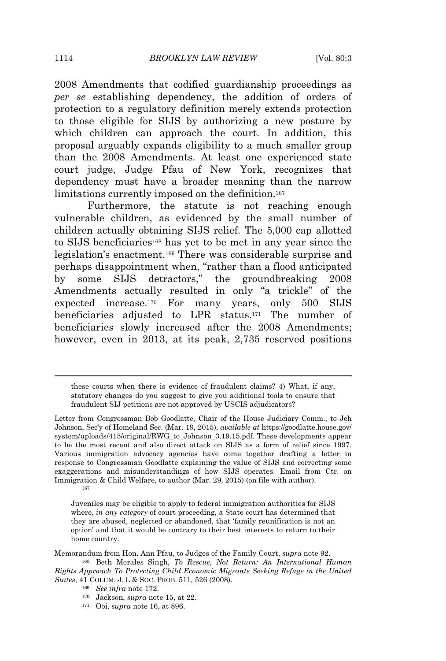2008 Amendments that codified guardianship proceedings as *per se* establishing dependency, the addition of orders of protection to a regulatory definition merely extends protection to those eligible for SIJS by authorizing a new posture by which children can approach the court. In addition, this proposal arguably expands eligibility to a much smaller group than the 2008 Amendments. At least one experienced state court judge, Judge Pfau of New York, recognizes that dependency must have a broader meaning than the narrow limitations currently imposed on the definition.<sup>167</sup>

Furthermore, the statute is not reaching enough vulnerable children, as evidenced by the small number of children actually obtaining SIJS relief. The 5,000 cap allotted to SIJS beneficiaries<sup>168</sup> has yet to be met in any year since the legislation's enactment.<sup>169</sup> There was considerable surprise and perhaps disappointment when, "rather than a flood anticipated by some SIJS detractors," the groundbreaking 2008 Amendments actually resulted in only "a trickle" of the expected increase.<sup>170</sup> For many years, only 500 SIJS beneficiaries adjusted to LPR status.<sup>171</sup> The number of beneficiaries slowly increased after the 2008 Amendments; however, even in 2013, at its peak, 2,735 reserved positions

167

Juveniles may be eligible to apply to federal immigration authorities for SIJS where, *in any category* of court proceeding, a State court has determined that they are abused, neglected or abandoned, that 'family reunification is not an option' and that it would be contrary to their best interests to return to their home country.

Memorandum from Hon. Ann Pfau, to Judges of the Family Court, *supra* note 92.

these courts when there is evidence of fraudulent claims? 4) What, if any, statutory changes do you suggest to give you additional tools to ensure that fraudulent SIJ petitions are not approved by USCIS adjudicators?

Letter from Congressman Bob Goodlatte, Chair of the House Judiciary Comm., to Jeh Johnson, Sec'y of Homeland Sec. (Mar. 19, 2015), *available at* https://goodlatte.house.gov/ system/uploads/415/original/RWG\_to\_Johnson\_3.19.15.pdf. These developments appear to be the most recent and also direct attack on SIJS as a form of relief since 1997. Various immigration advocacy agencies have come together drafting a letter in response to Congressman Goodlatte explaining the value of SIJS and correcting some exaggerations and misunderstandings of how SIJS operates. Email from Ctr. on Immigration & Child Welfare, to author (Mar. 29, 2015) (on file with author).

<sup>168</sup> Beth Morales Singh, *To Rescue, Not Return: An International Human Rights Approach To Protecting Child Economic Migrants Seeking Refuge in the United States*, 41 COLUM. J. L & SOC. PROB. 511, 526 (2008).

<sup>169</sup> *See infra* note 172.

<sup>170</sup> Jackson, *supra* note 15, at 22.

<sup>171</sup> Ooi, *supra* note 16, at 896.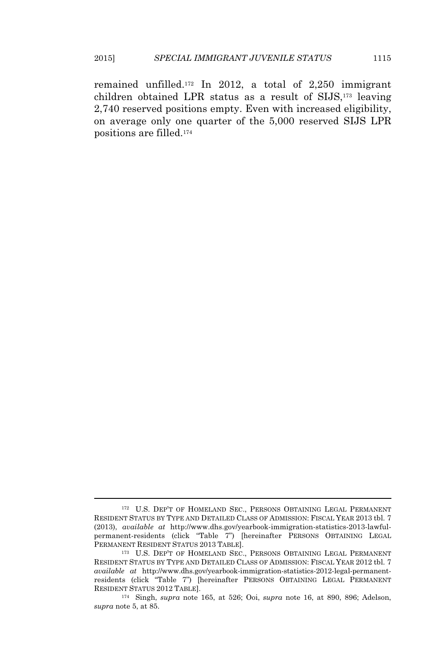remained unfilled.<sup>172</sup> In 2012, a total of 2,250 immigrant children obtained LPR status as a result of SIJS,<sup>173</sup> leaving 2,740 reserved positions empty. Even with increased eligibility, on average only one quarter of the 5,000 reserved SIJS LPR positions are filled.<sup>174</sup>

<sup>172</sup> U.S. DEP'T OF HOMELAND SEC., PERSONS OBTAINING LEGAL PERMANENT RESIDENT STATUS BY TYPE AND DETAILED CLASS OF ADMISSION: FISCAL YEAR 2013 tbl. 7 (2013), *available at* http://www.dhs.gov/yearbook-immigration-statistics-2013-lawfulpermanent-residents (click "Table 7") [hereinafter PERSONS OBTAINING LEGAL PERMANENT RESIDENT STATUS 2013 TABLE].

<sup>173</sup> U.S. DEP'T OF HOMELAND SEC., PERSONS OBTAINING LEGAL PERMANENT RESIDENT STATUS BY TYPE AND DETAILED CLASS OF ADMISSION: FISCAL YEAR 2012 tbl. 7 *available at* http://www.dhs.gov/yearbook-immigration-statistics-2012-legal-permanentresidents (click "Table 7") [hereinafter PERSONS OBTAINING LEGAL PERMANENT RESIDENT STATUS 2012 TABLE].

<sup>174</sup> Singh, *supra* note 165, at 526; Ooi, *supra* note 16, at 890, 896; Adelson, *supra* note 5, at 85.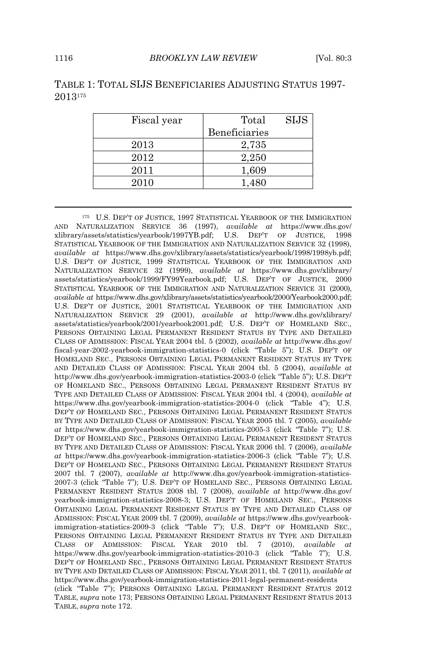| Fiscal year | Total         | <b>SIJS</b> |
|-------------|---------------|-------------|
|             | Beneficiaries |             |
| 2013        | 2,735         |             |
| 2012        | 2,250         |             |
| 2011        | 1,609         |             |
| 2010        | 1.480         |             |

# TABLE 1: TOTAL SIJS BENEFICIARIES ADJUSTING STATUS 1997- 2013<sup>175</sup>

<sup>175</sup> U.S. DEP'T OF JUSTICE, 1997 STATISTICAL YEARBOOK OF THE IMMIGRATION AND NATURALIZATION SERVICE 36 (1997), *available at* https://www.dhs.gov/ xlibrary/assets/statistics/yearbook/1997YB.pdf; U.S. DEP'<sup>T</sup> OF JUSTICE, 1998 STATISTICAL YEARBOOK OF THE IMMIGRATION AND NATURALIZATION SERVICE 32 (1998), *available at* https://www.dhs.gov/xlibrary/assets/statistics/yearbook/1998/1998yb.pdf; U.S. DEP'T OF JUSTICE, 1999 STATISTICAL YEARBOOK OF THE IMMIGRATION AND NATURALIZATION SERVICE 32 (1999), *available at* https://www.dhs.gov/xlibrary/ assets/statistics/yearbook/1999/FY99Yearbook.pdf; U.S. DEP'<sup>T</sup> OF JUSTICE, 2000 STATISTICAL YEARBOOK OF THE IMMIGRATION AND NATURALIZATION SERVICE 31 (2000), *available at* https://www.dhs.gov/xlibrary/assets/statistics/yearbook/2000/Yearbook2000.pdf; U.S. DEP'T OF JUSTICE, 2001 STATISTICAL YEARBOOK OF THE IMMIGRATION AND NATURALIZATION SERVICE 29 (2001), *available at* http://www.dhs.gov/xlibrary/ assets/statistics/yearbook/2001/yearbook2001.pdf; U.S. DEP'<sup>T</sup> OF HOMELAND SEC., PERSONS OBTAINING LEGAL PERMANENT RESIDENT STATUS BY TYPE AND DETAILED CLASS OF ADMISSION: FISCAL YEAR 2004 tbl. 5 (2002), *available at* http://www.dhs.gov/ fiscal-year-2002-yearbook-immigration-statistics-0 (click "Table 5"); U.S. DEP'<sup>T</sup> OF HOMELAND SEC., PERSONS OBTAINING LEGAL PERMANENT RESIDENT STATUS BY TYPE AND DETAILED CLASS OF ADMISSION: FISCAL YEAR 2004 tbl. 5 (2004), *available at* http://www.dhs.gov/yearbook-immigration-statistics-2003-0 (click "Table 5"); U.S. DEP'<sup>T</sup> OF HOMELAND SEC., PERSONS OBTAINING LEGAL PERMANENT RESIDENT STATUS BY TYPE AND DETAILED CLASS OF ADMISSION: FISCAL YEAR 2004 tbl. 4 (2004), *available at* https://www.dhs.gov/yearbook-immigration-statistics-2004-0 (click "Table 4"); U.S. DEP'T OF HOMELAND SEC., PERSONS OBTAINING LEGAL PERMANENT RESIDENT STATUS BY TYPE AND DETAILED CLASS OF ADMISSION: FISCAL YEAR 2005 tbl. 7 (2005), *available at* https://www.dhs.gov/yearbook-immigration-statistics-2005-3 (click "Table 7"); U.S. DEP'T OF HOMELAND SEC., PERSONS OBTAINING LEGAL PERMANENT RESIDENT STATUS BY TYPE AND DETAILED CLASS OF ADMISSION: FISCAL YEAR 2006 tbl. 7 (2006), *available at* https://www.dhs.gov/yearbook-immigration-statistics-2006-3 (click "Table 7"); U.S. DEP'T OF HOMELAND SEC., PERSONS OBTAINING LEGAL PERMANENT RESIDENT STATUS 2007 tbl. 7 (2007), *available at* http://www.dhs.gov/yearbook-immigration-statistics-2007-3 (click "Table 7"); U.S. DEP'T OF HOMELAND SEC., PERSONS OBTAINING LEGAL PERMANENT RESIDENT STATUS 2008 tbl. 7 (2008), *available at* http://www.dhs.gov/ yearbook-immigration-statistics-2008-3; U.S. DEP'T OF HOMELAND SEC., PERSONS OBTAINING LEGAL PERMANENT RESIDENT STATUS BY TYPE AND DETAILED CLASS OF ADMISSION: FISCAL YEAR 2009 tbl. 7 (2009), *available at* https://www.dhs.gov/yearbookimmigration-statistics-2009-3 (click "Table 7"); U.S. DEP'<sup>T</sup> OF HOMELAND SEC., PERSONS OBTAINING LEGAL PERMANENT RESIDENT STATUS BY TYPE AND DETAILED CLASS OF ADMISSION: FISCAL YEAR 2010 tbl. 7 (2010), *available at* https://www.dhs.gov/yearbook-immigration-statistics-2010-3 (click "Table 7"); U.S. DEP'T OF HOMELAND SEC., PERSONS OBTAINING LEGAL PERMANENT RESIDENT STATUS BY TYPE AND DETAILED CLASS OF ADMISSION: FISCAL YEAR 2011, tbl. 7 (2011), *available at* https://www.dhs.gov/yearbook-immigration-statistics-2011-legal-permanent-residents (click "Table 7"); PERSONS OBTAINING LEGAL PERMANENT RESIDENT STATUS 2012 TABLE, *supra* note 173; PERSONS OBTAINING LEGAL PERMANENT RESIDENT STATUS 2013 TABLE, *supra* note 172.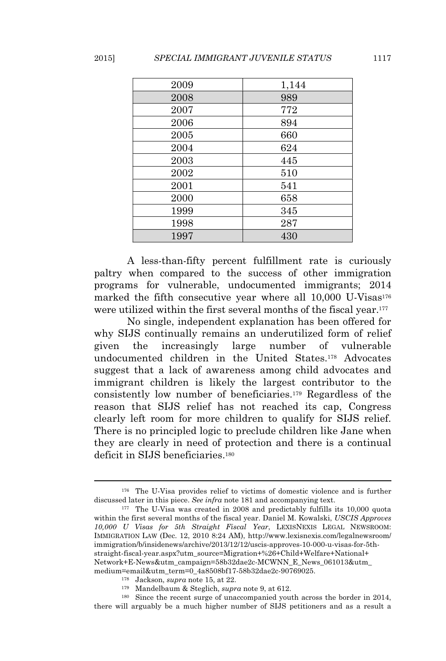| 2009 | 1,144 |
|------|-------|
| 2008 | 989   |
| 2007 | 772   |
| 2006 | 894   |
| 2005 | 660   |
| 2004 | 624   |
| 2003 | 445   |
| 2002 | 510   |
| 2001 | 541   |
| 2000 | 658   |
| 1999 | 345   |
| 1998 | 287   |
| 1997 | 430   |

A less-than-fifty percent fulfillment rate is curiously paltry when compared to the success of other immigration programs for vulnerable, undocumented immigrants; 2014 marked the fifth consecutive year where all 10,000 U-Visas<sup>176</sup> were utilized within the first several months of the fiscal year.<sup>177</sup>

No single, independent explanation has been offered for why SIJS continually remains an underutilized form of relief given the increasingly large number of vulnerable undocumented children in the United States.<sup>178</sup> Advocates suggest that a lack of awareness among child advocates and immigrant children is likely the largest contributor to the consistently low number of beneficiaries.<sup>179</sup> Regardless of the reason that SIJS relief has not reached its cap, Congress clearly left room for more children to qualify for SIJS relief. There is no principled logic to preclude children like Jane when they are clearly in need of protection and there is a continual deficit in SIJS beneficiaries.<sup>180</sup>

<sup>176</sup> The U-Visa provides relief to victims of domestic violence and is further discussed later in this piece. *See infra* note 181 and accompanying text.

<sup>177</sup> The U-Visa was created in 2008 and predictably fulfills its 10,000 quota within the first several months of the fiscal year. Daniel M. Kowalski, *USCIS Approves 10,000 U Visas for 5th Straight Fiscal Year*, LEXISNEXIS LEGAL NEWSROOM: IMMIGRATION LAW (Dec. 12, 2010 8:24 AM), http://www.lexisnexis.com/legalnewsroom/ immigration/b/insidenews/archive/2013/12/12/uscis-approves-10-000-u-visas-for-5thstraight-fiscal-year.aspx?utm\_source=Migration+%26+Child+Welfare+National+ Network+E-News&utm\_campaign=58b32dae2c-MCWNN\_E\_News\_061013&utm\_ medium=email&utm\_term=0\_4a8508bf17-58b32dae2c-90769025.

<sup>178</sup> Jackson, *supra* note 15, at 22.

<sup>179</sup> Mandelbaum & Steglich, *supra* note 9, at 612.

<sup>180</sup> Since the recent surge of unaccompanied youth across the border in 2014, there will arguably be a much higher number of SIJS petitioners and as a result a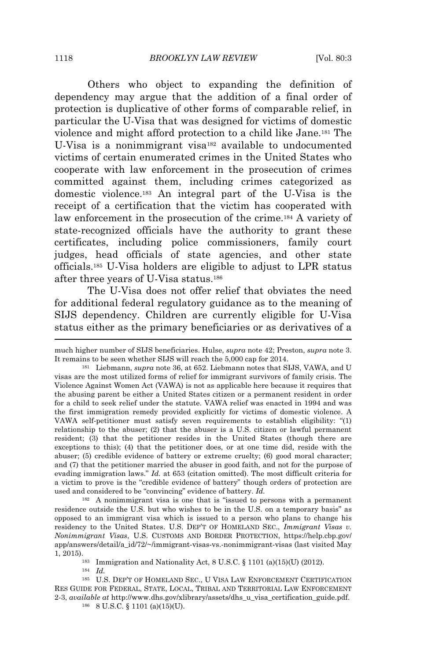Others who object to expanding the definition of dependency may argue that the addition of a final order of protection is duplicative of other forms of comparable relief, in particular the U-Visa that was designed for victims of domestic violence and might afford protection to a child like Jane.<sup>181</sup> The U-Visa is a nonimmigrant visa<sup>182</sup> available to undocumented victims of certain enumerated crimes in the United States who cooperate with law enforcement in the prosecution of crimes committed against them, including crimes categorized as domestic violence.<sup>183</sup> An integral part of the U-Visa is the receipt of a certification that the victim has cooperated with law enforcement in the prosecution of the crime.<sup>184</sup> A variety of state-recognized officials have the authority to grant these certificates, including police commissioners, family court judges, head officials of state agencies, and other state officials.<sup>185</sup> U-Visa holders are eligible to adjust to LPR status after three years of U-Visa status.<sup>186</sup>

The U-Visa does not offer relief that obviates the need for additional federal regulatory guidance as to the meaning of SIJS dependency. Children are currently eligible for U-Visa status either as the primary beneficiaries or as derivatives of a

<sup>182</sup> A nonimmigrant visa is one that is "issued to persons with a permanent residence outside the U.S. but who wishes to be in the U.S. on a temporary basis" as opposed to an immigrant visa which is issued to a person who plans to change his residency to the United States. U.S. DEP'T OF HOMELAND SEC., *Immigrant Visas v. Nonimmigrant Visas*, U.S. CUSTOMS AND BORDER PROTECTION, https://help.cbp.gov/ app/answers/detail/a\_id/72/~/immigrant-visas-vs.-nonimmigrant-visas (last visited May 1, 2015).

<sup>183</sup> Immigration and Nationality Act,  $8$  U.S.C.  $\frac{6}{9}$  1101 (a)(15)(U) (2012).

<sup>184</sup> *Id.*

<sup>185</sup> U.S. DEP'<sup>T</sup> OF HOMELAND SEC., U VISA LAW ENFORCEMENT CERTIFICATION RES GUIDE FOR FEDERAL, STATE, LOCAL, TRIBAL AND TERRITORIAL LAW ENFORCEMENT 2-3, *available at* http://www.dhs.gov/xlibrary/assets/dhs\_u\_visa\_certification\_guide.pdf.

<sup>186</sup> 8 U.S.C. § 1101 (a)(15)(U).

much higher number of SIJS beneficiaries. Hulse, *supra* note 42; Preston, *supra* note 3. It remains to be seen whether SIJS will reach the 5,000 cap for 2014.

<sup>181</sup> Liebmann, *supra* note 36, at 652. Liebmann notes that SIJS, VAWA, and U visas are the most utilized forms of relief for immigrant survivors of family crisis. The Violence Against Women Act (VAWA) is not as applicable here because it requires that the abusing parent be either a United States citizen or a permanent resident in order for a child to seek relief under the statute. VAWA relief was enacted in 1994 and was the first immigration remedy provided explicitly for victims of domestic violence. A VAWA self-petitioner must satisfy seven requirements to establish eligibility: "(1) relationship to the abuser; (2) that the abuser is a U.S. citizen or lawful permanent resident; (3) that the petitioner resides in the United States (though there are exceptions to this); (4) that the petitioner does, or at one time did, reside with the abuser; (5) credible evidence of battery or extreme cruelty; (6) good moral character; and (7) that the petitioner married the abuser in good faith, and not for the purpose of evading immigration laws." *Id.* at 653 (citation omitted). The most difficult criteria for a victim to prove is the "credible evidence of battery" though orders of protection are used and considered to be "convincing" evidence of battery. *Id.*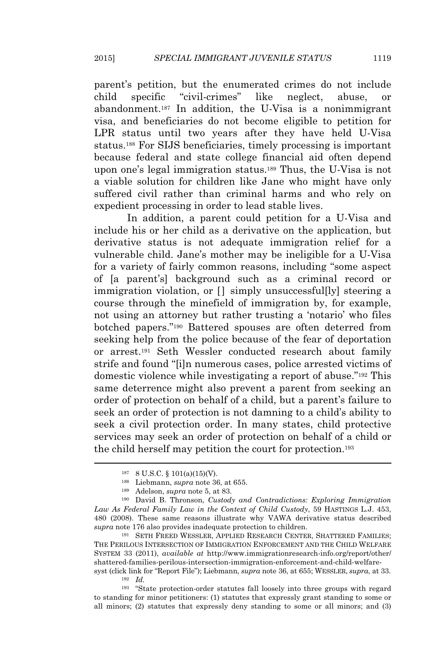parent's petition, but the enumerated crimes do not include child specific "civil-crimes" like neglect, abuse, abandonment.<sup>187</sup> In addition, the U-Visa is a nonimmigrant visa, and beneficiaries do not become eligible to petition for LPR status until two years after they have held U-Visa status.<sup>188</sup> For SIJS beneficiaries, timely processing is important because federal and state college financial aid often depend upon one's legal immigration status.<sup>189</sup> Thus, the U-Visa is not a viable solution for children like Jane who might have only suffered civil rather than criminal harms and who rely on expedient processing in order to lead stable lives.

In addition, a parent could petition for a U-Visa and include his or her child as a derivative on the application, but derivative status is not adequate immigration relief for a vulnerable child. Jane's mother may be ineligible for a U-Visa for a variety of fairly common reasons, including "some aspect of [a parent's] background such as a criminal record or immigration violation, or  $\Box$  simply unsuccessfully steering a course through the minefield of immigration by, for example, not using an attorney but rather trusting a 'notario' who files botched papers." <sup>190</sup> Battered spouses are often deterred from seeking help from the police because of the fear of deportation or arrest.<sup>191</sup> Seth Wessler conducted research about family strife and found "[i]n numerous cases, police arrested victims of domestic violence while investigating a report of abuse." <sup>192</sup> This same deterrence might also prevent a parent from seeking an order of protection on behalf of a child, but a parent's failure to seek an order of protection is not damning to a child's ability to seek a civil protection order. In many states, child protective services may seek an order of protection on behalf of a child or the child herself may petition the court for protection.<sup>193</sup>

syst (click link for "Report File"); Liebmann, *supra* note 36, at 655; WESSLER, *supra*, at 33. <sup>192</sup> *Id.*

<sup>193</sup> "State protection-order statutes fall loosely into three groups with regard to standing for minor petitioners: (1) statutes that expressly grant standing to some or all minors; (2) statutes that expressly deny standing to some or all minors; and (3)

<sup>187</sup> 8 U.S.C. § 101(a)(15)(V).

<sup>188</sup> Liebmann, *supra* note 36, at 655.

<sup>189</sup> Adelson, *supra* note 5, at 83.

<sup>190</sup> David B. Thronson, *Custody and Contradictions: Exploring Immigration Law As Federal Family Law in the Context of Child Custody*, 59 HASTINGS L.J. 453, 480 (2008). These same reasons illustrate why VAWA derivative status described *supra* note 176 also provides inadequate protection to children.

<sup>191</sup> SETH FREED WESSLER, APPLIED RESEARCH CENTER, SHATTERED FAMILIES; THE PERILOUS INTERSECTION OF IMMIGRATION ENFORCEMENT AND THE CHILD WELFARE SYSTEM 33 (2011), *available at* http://www.immigrationresearch-info.org/report/other/ shattered-families-perilous-intersection-immigration-enforcement-and-child-welfare-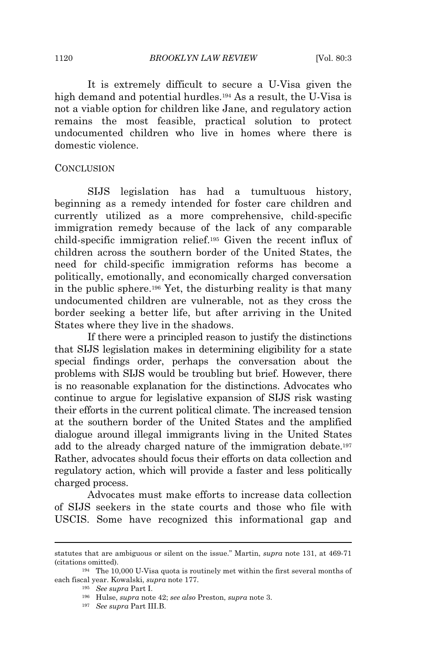It is extremely difficult to secure a U-Visa given the high demand and potential hurdles.<sup>194</sup> As a result, the U-Visa is not a viable option for children like Jane, and regulatory action remains the most feasible, practical solution to protect undocumented children who live in homes where there is domestic violence.

#### **CONCLUSION**

SIJS legislation has had a tumultuous history, beginning as a remedy intended for foster care children and currently utilized as a more comprehensive, child-specific immigration remedy because of the lack of any comparable child-specific immigration relief.<sup>195</sup> Given the recent influx of children across the southern border of the United States, the need for child-specific immigration reforms has become a politically, emotionally, and economically charged conversation in the public sphere.<sup>196</sup> Yet, the disturbing reality is that many undocumented children are vulnerable, not as they cross the border seeking a better life, but after arriving in the United States where they live in the shadows.

If there were a principled reason to justify the distinctions that SIJS legislation makes in determining eligibility for a state special findings order, perhaps the conversation about the problems with SIJS would be troubling but brief. However, there is no reasonable explanation for the distinctions. Advocates who continue to argue for legislative expansion of SIJS risk wasting their efforts in the current political climate. The increased tension at the southern border of the United States and the amplified dialogue around illegal immigrants living in the United States add to the already charged nature of the immigration debate.<sup>197</sup> Rather, advocates should focus their efforts on data collection and regulatory action, which will provide a faster and less politically charged process.

Advocates must make efforts to increase data collection of SIJS seekers in the state courts and those who file with USCIS. Some have recognized this informational gap and

statutes that are ambiguous or silent on the issue." Martin, *supra* note 131, at 469-71 (citations omitted).

<sup>194</sup> The 10,000 U-Visa quota is routinely met within the first several months of each fiscal year. Kowalski, *supra* note 177.

<sup>195</sup> *See supra* Part I.

<sup>196</sup> Hulse, *supra* note 42; *see also* Preston, *supra* note 3.

<sup>197</sup> *See supra* Part III.B.